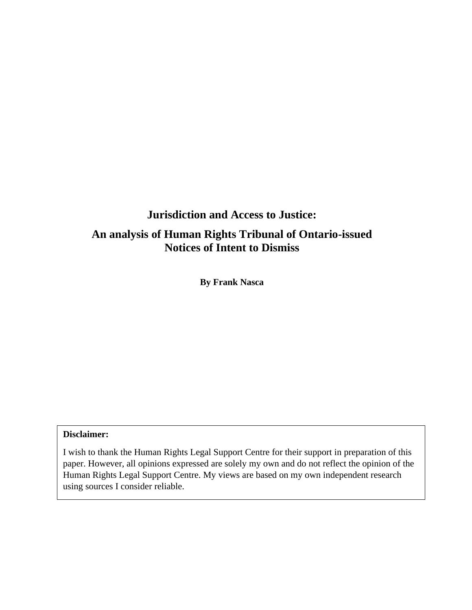# **Jurisdiction and Access to Justice:**

# **An analysis of Human Rights Tribunal of Ontario-issued Notices of Intent to Dismiss**

**By Frank Nasca**

### **Disclaimer:**

I wish to thank the Human Rights Legal Support Centre for their support in preparation of this paper. However, all opinions expressed are solely my own and do not reflect the opinion of the Human Rights Legal Support Centre. My views are based on my own independent research using sources I consider reliable.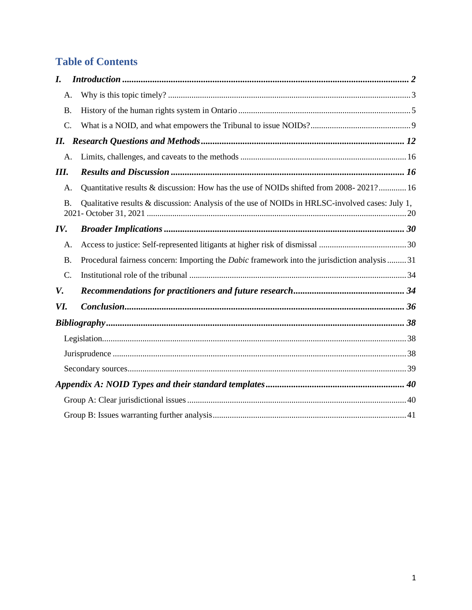# **Table of Contents**

| $\bm{I}$ . |           |                                                                                                     |  |
|------------|-----------|-----------------------------------------------------------------------------------------------------|--|
|            | А.        |                                                                                                     |  |
|            | <b>B.</b> |                                                                                                     |  |
|            | C.        |                                                                                                     |  |
| II.        |           |                                                                                                     |  |
|            | A.        |                                                                                                     |  |
| III.       |           |                                                                                                     |  |
|            | A.        | Quantitative results & discussion: How has the use of NOIDs shifted from 2008-2021? 16              |  |
|            | <b>B.</b> | Qualitative results & discussion: Analysis of the use of NOIDs in HRLSC-involved cases: July 1,     |  |
| IV.        |           |                                                                                                     |  |
|            | A.        |                                                                                                     |  |
|            | <b>B.</b> | Procedural fairness concern: Importing the <i>Dabic</i> framework into the jurisdiction analysis 31 |  |
|            | C.        |                                                                                                     |  |
| V.         |           |                                                                                                     |  |
| VI.        |           |                                                                                                     |  |
|            |           |                                                                                                     |  |
|            |           |                                                                                                     |  |
|            |           |                                                                                                     |  |
|            |           |                                                                                                     |  |
|            |           |                                                                                                     |  |
|            |           |                                                                                                     |  |
|            |           |                                                                                                     |  |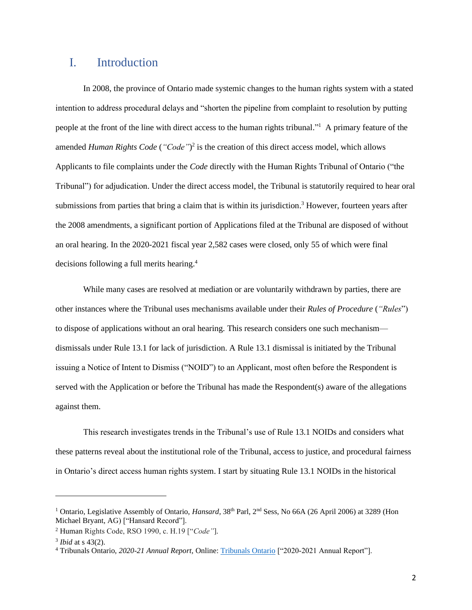## <span id="page-2-0"></span>I. Introduction

In 2008, the province of Ontario made systemic changes to the human rights system with a stated intention to address procedural delays and "shorten the pipeline from complaint to resolution by putting people at the front of the line with direct access to the human rights tribunal." <sup>1</sup> A primary feature of the amended *Human Rights Code* (*"Code"*) 2 is the creation of this direct access model, which allows Applicants to file complaints under the *Code* directly with the Human Rights Tribunal of Ontario ("the Tribunal") for adjudication. Under the direct access model, the Tribunal is statutorily required to hear oral submissions from parties that bring a claim that is within its jurisdiction.<sup>3</sup> However, fourteen years after the 2008 amendments, a significant portion of Applications filed at the Tribunal are disposed of without an oral hearing. In the 2020-2021 fiscal year 2,582 cases were closed, only 55 of which were final decisions following a full merits hearing.<sup>4</sup>

While many cases are resolved at mediation or are voluntarily withdrawn by parties, there are other instances where the Tribunal uses mechanisms available under their *Rules of Procedure* (*"Rules*") to dispose of applications without an oral hearing*.* This research considers one such mechanism dismissals under Rule 13.1 for lack of jurisdiction. A Rule 13.1 dismissal is initiated by the Tribunal issuing a Notice of Intent to Dismiss ("NOID") to an Applicant, most often before the Respondent is served with the Application or before the Tribunal has made the Respondent(s) aware of the allegations against them.

This research investigates trends in the Tribunal's use of Rule 13.1 NOIDs and considers what these patterns reveal about the institutional role of the Tribunal, access to justice, and procedural fairness in Ontario's direct access human rights system. I start by situating Rule 13.1 NOIDs in the historical

<sup>&</sup>lt;sup>1</sup> Ontario, Legislative Assembly of Ontario, *Hansard*, 38<sup>th</sup> Parl, 2<sup>nd</sup> Sess, No 66A (26 April 2006) at 3289 (Hon Michael Bryant, AG) ["Hansard Record"].

<sup>2</sup> Human Rights Code, RSO 1990, c. H.19 ["*Code"*].

<sup>3</sup> *Ibid* at s 43(2).

<sup>4</sup> Tribunals Ontario, *2020-21 Annual Report,* Online: [Tribunals Ontario](https://tribunalsontario.ca/documents/TO/Tribunals_Ontario_2020-2021_Annual_Report.html) ["2020-2021 Annual Report"].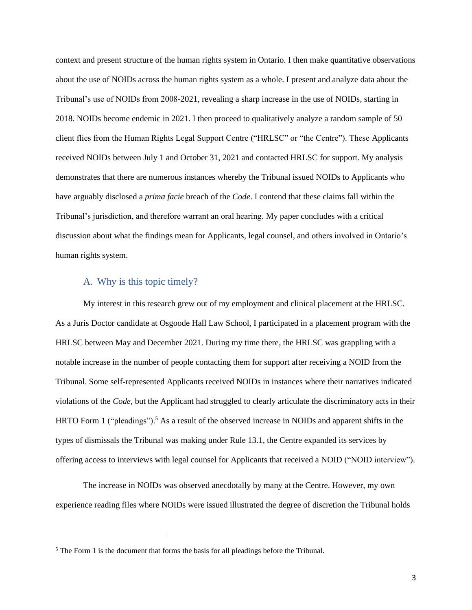context and present structure of the human rights system in Ontario. I then make quantitative observations about the use of NOIDs across the human rights system as a whole. I present and analyze data about the Tribunal's use of NOIDs from 2008-2021, revealing a sharp increase in the use of NOIDs, starting in 2018. NOIDs become endemic in 2021. I then proceed to qualitatively analyze a random sample of 50 client flies from the Human Rights Legal Support Centre ("HRLSC" or "the Centre"). These Applicants received NOIDs between July 1 and October 31, 2021 and contacted HRLSC for support. My analysis demonstrates that there are numerous instances whereby the Tribunal issued NOIDs to Applicants who have arguably disclosed a *prima facie* breach of the *Code*. I contend that these claims fall within the Tribunal's jurisdiction, and therefore warrant an oral hearing. My paper concludes with a critical discussion about what the findings mean for Applicants, legal counsel, and others involved in Ontario's human rights system.

### A. Why is this topic timely?

<span id="page-3-0"></span>My interest in this research grew out of my employment and clinical placement at the HRLSC. As a Juris Doctor candidate at Osgoode Hall Law School, I participated in a placement program with the HRLSC between May and December 2021. During my time there, the HRLSC was grappling with a notable increase in the number of people contacting them for support after receiving a NOID from the Tribunal. Some self-represented Applicants received NOIDs in instances where their narratives indicated violations of the *Code,* but the Applicant had struggled to clearly articulate the discriminatory acts in their HRTO Form 1 ("pleadings").<sup>5</sup> As a result of the observed increase in NOIDs and apparent shifts in the types of dismissals the Tribunal was making under Rule 13.1, the Centre expanded its services by offering access to interviews with legal counsel for Applicants that received a NOID ("NOID interview").

The increase in NOIDs was observed anecdotally by many at the Centre. However, my own experience reading files where NOIDs were issued illustrated the degree of discretion the Tribunal holds

<sup>5</sup> The Form 1 is the document that forms the basis for all pleadings before the Tribunal.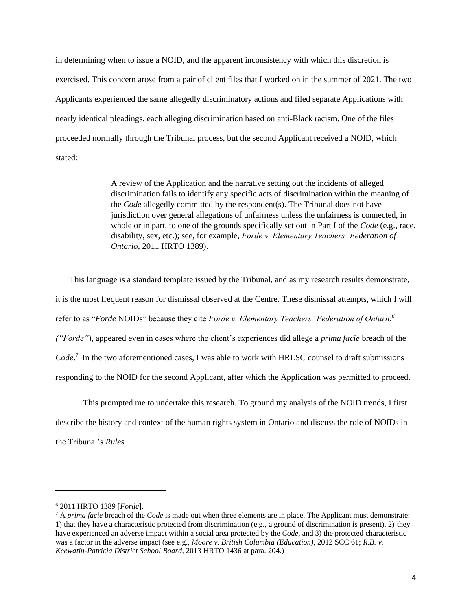in determining when to issue a NOID, and the apparent inconsistency with which this discretion is exercised. This concern arose from a pair of client files that I worked on in the summer of 2021. The two Applicants experienced the same allegedly discriminatory actions and filed separate Applications with nearly identical pleadings, each alleging discrimination based on anti-Black racism. One of the files proceeded normally through the Tribunal process, but the second Applicant received a NOID, which stated:

> A review of the Application and the narrative setting out the incidents of alleged discrimination fails to identify any specific acts of discrimination within the meaning of the *Code* allegedly committed by the respondent(s). The Tribunal does not have jurisdiction over general allegations of unfairness unless the unfairness is connected, in whole or in part, to one of the grounds specifically set out in Part I of the *Code* (e.g., race, disability, sex, etc.); see, for example, *Forde v. Elementary Teachers' Federation of Ontario*, 2011 HRTO 1389).

This language is a standard template issued by the Tribunal, and as my research results demonstrate, it is the most frequent reason for dismissal observed at the Centre. These dismissal attempts, which I will refer to as "*Forde* NOIDs" because they cite *Forde v. Elementary Teachers' Federation of Ontario<sup>6</sup> ("Forde"*), appeared even in cases where the client's experiences did allege a *prima facie* breach of the *Code*. 7 In the two aforementioned cases, I was able to work with HRLSC counsel to draft submissions responding to the NOID for the second Applicant, after which the Application was permitted to proceed.

This prompted me to undertake this research. To ground my analysis of the NOID trends, I first describe the history and context of the human rights system in Ontario and discuss the role of NOIDs in the Tribunal's *Rules.* 

<sup>6</sup> 2011 HRTO 1389 [*Forde*].

<sup>7</sup> A *prima facie* breach of the *Code* is made out when three elements are in place. The Applicant must demonstrate: 1) that they have a characteristic protected from discrimination (e.g., a ground of discrimination is present), 2) they have experienced an adverse impact within a social area protected by the *Code*, and 3) the protected characteristic was a factor in the adverse impact (see e.g., *Moore v. British Columbia (Education)*, 2012 SCC 61; *R.B. v. Keewatin-Patricia District School Board*, 2013 HRTO 1436 at para. 204.)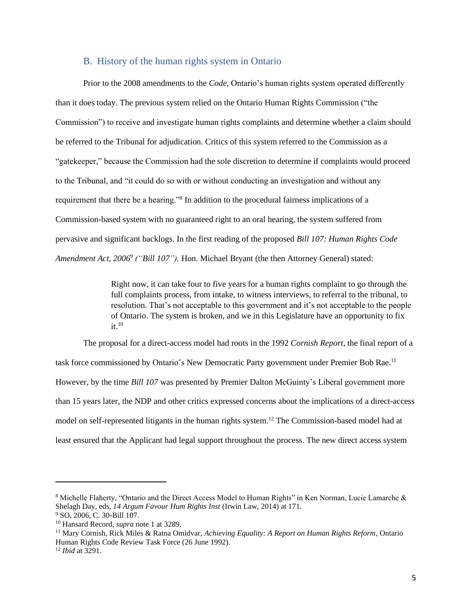#### B. History of the human rights system in Ontario

<span id="page-5-0"></span>Prior to the 2008 amendments to the *Code,* Ontario's human rights system operated differently than it does today. The previous system relied on the Ontario Human Rights Commission ("the Commission") to receive and investigate human rights complaints and determine whether a claim should be referred to the Tribunal for adjudication. Critics of this system referred to the Commission as a "gatekeeper," because the Commission had the sole discretion to determine if complaints would proceed to the Tribunal, and "it could do so with or without conducting an investigation and without any requirement that there be a hearing."<sup>8</sup> In addition to the procedural fairness implications of a Commission-based system with no guaranteed right to an oral hearing, the system suffered from pervasive and significant backlogs. In the first reading of the proposed *Bill 107: Human Rights Code Amendment Act, 2006<sup>9</sup> ("Bill 107"),* Hon. Michael Bryant (the then Attorney General) stated:

> Right now, it can take four to five years for a human rights complaint to go through the full complaints process, from intake, to witness interviews, to referral to the tribunal, to resolution. That's not acceptable to this government and it's not acceptable to the people of Ontario. The system is broken, and we in this Legislature have an opportunity to fix it.<sup>10</sup>

The proposal for a direct-access model had roots in the 1992 *Cornish Report*, the final report of a task force commissioned by Ontario's New Democratic Party government under Premier Bob Rae.<sup>11</sup> However, by the time *Bill 107* was presented by Premier Dalton McGuinty's Liberal government more than 15 years later, the NDP and other critics expressed concerns about the implications of a direct-access model on self-represented litigants in the human rights system. <sup>12</sup> The Commission-based model had at least ensured that the Applicant had legal support throughout the process. The new direct access system

<sup>&</sup>lt;sup>8</sup> Michelle Flaherty, "Ontario and the Direct Access Model to Human Rights" in Ken Norman, Lucie Lamarche & Shelagh Day, eds, *14 Argum Favour Hum Rights Inst* (Irwin Law, 2014) at 171.

<sup>9</sup> SO, 2006, C. 30-Bill 107.

<sup>10</sup> Hansard Record, *supra* note 1 at 3289.

<sup>11</sup> Mary Cornish, Rick Miles & Ratna Omidvar, *Achieving Equality: A Report on Human Rights Reform*, Ontario Human Rights Code Review Task Force (26 June 1992).

<sup>12</sup> *Ibid* at 3291.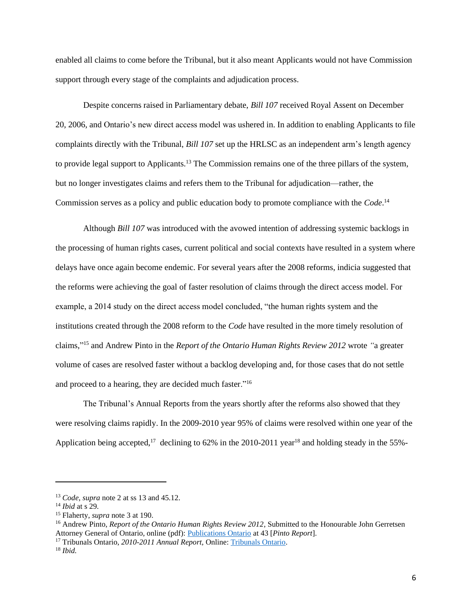enabled all claims to come before the Tribunal, but it also meant Applicants would not have Commission support through every stage of the complaints and adjudication process.

Despite concerns raised in Parliamentary debate, *Bill 107* received Royal Assent on December 20, 2006, and Ontario's new direct access model was ushered in. In addition to enabling Applicants to file complaints directly with the Tribunal, *Bill 107* set up the HRLSC as an independent arm's length agency to provide legal support to Applicants.<sup>13</sup> The Commission remains one of the three pillars of the system, but no longer investigates claims and refers them to the Tribunal for adjudication—rather, the Commission serves as a policy and public education body to promote compliance with the *Code*. 14

Although *Bill 107* was introduced with the avowed intention of addressing systemic backlogs in the processing of human rights cases, current political and social contexts have resulted in a system where delays have once again become endemic. For several years after the 2008 reforms, indicia suggested that the reforms were achieving the goal of faster resolution of claims through the direct access model. For example, a 2014 study on the direct access model concluded, "the human rights system and the institutions created through the 2008 reform to the *Code* have resulted in the more timely resolution of claims," <sup>15</sup> and Andrew Pinto in the *Report of the Ontario Human Rights Review 2012* wrote *"*a greater volume of cases are resolved faster without a backlog developing and, for those cases that do not settle and proceed to a hearing, they are decided much faster."<sup>16</sup>

The Tribunal's Annual Reports from the years shortly after the reforms also showed that they were resolving claims rapidly. In the 2009-2010 year 95% of claims were resolved within one year of the Application being accepted,<sup>17</sup> declining to 62% in the 2010-2011 year<sup>18</sup> and holding steady in the 55%-

<sup>13</sup> *Code*, *supra* note 2 at ss 13 and 45.12.

<sup>14</sup> *Ibid* at s 29.

<sup>15</sup> Flaherty, *supra* note 3 at 190.

<sup>&</sup>lt;sup>16</sup> Andrew Pinto, *Report of the Ontario Human Rights Review 2012*, Submitted to the Honourable John Gerretsen Attorney General of Ontario, online (pdf): [Publications Ontario](https://www.publications.gov.on.ca/report-of-the-ontario-human-rights-review-2012-andrew-pinto) at 43 [*Pinto Report*].

<sup>17</sup> Tribunals Ontario, *2010-2011 Annual Report,* Online: [Tribunals Ontario.](https://tribunalsontario.ca/documents/sjto/2010-11%20Annual%20Report.html)

<sup>18</sup> *Ibid.*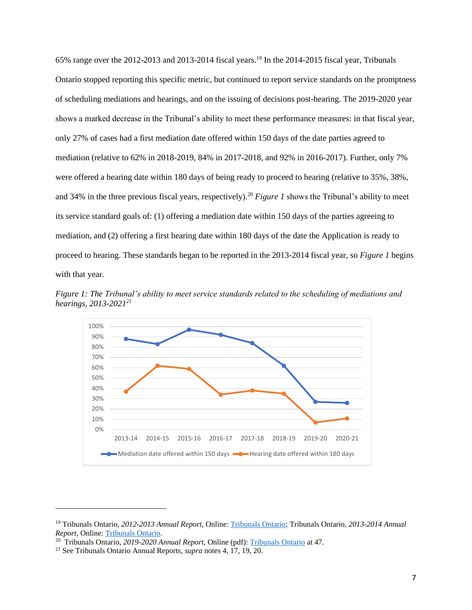65% range over the 2012-2013 and 2013-2014 fiscal years.<sup>19</sup> In the 2014-2015 fiscal year, Tribunals Ontario stopped reporting this specific metric, but continued to report service standards on the promptness of scheduling mediations and hearings, and on the issuing of decisions post-hearing. The 2019-2020 year shows a marked decrease in the Tribunal's ability to meet these performance measures: in that fiscal year, only 27% of cases had a first mediation date offered within 150 days of the date parties agreed to mediation (relative to 62% in 2018-2019, 84% in 2017-2018, and 92% in 2016-2017). Further, only 7% were offered a hearing date within 180 days of being ready to proceed to hearing (relative to 35%, 38%, and 34% in the three previous fiscal years, respectively).<sup>20</sup> *Figure 1* shows the Tribunal's ability to meet its service standard goals of: (1) offering a mediation date within 150 days of the parties agreeing to mediation, and (2) offering a first hearing date within 180 days of the date the Application is ready to proceed to hearing. These standards began to be reported in the 2013-2014 fiscal year, so *Figure 1* begins with that year.

*Figure 1: The Tribunal's ability to meet service standards related to the scheduling of mediations and hearings, 2013-2021 21*



<sup>19</sup> Tribunals Ontario, *2012-2013 Annual Report,* Online: [Tribunals Ontario;](http://www.tribunalsontario.ca/documents/sjto/2012-13%20Annual%20Report.html) Tribunals Ontario, *2013-2014 Annual Report,* Online[: Tribunals Ontario.](https://tribunalsontario.ca/documents/sjto/2013-14%20Annual%20Report.html)

<sup>20</sup> Tribunals Ontario, *2019-2020 Annual Report,* Online (pdf): [Tribunals Ontario](https://tribunalsontario.ca/documents/TO/Tribunals_Ontario_2019-2020_Annual_Report_EN.pdf) at 47.

<sup>21</sup> See Tribunals Ontario Annual Reports, *supra* notes 4, 17, 19, 20.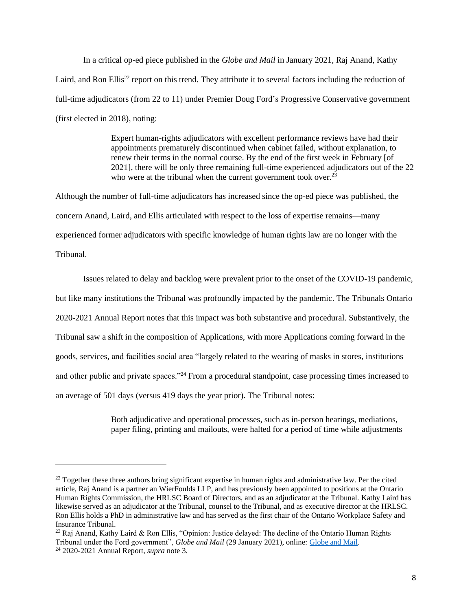In a critical op-ed piece published in the *Globe and Mail* in January 2021, Raj Anand, Kathy Laird, and Ron Ellis<sup>22</sup> report on this trend. They attribute it to several factors including the reduction of full-time adjudicators (from 22 to 11) under Premier Doug Ford's Progressive Conservative government (first elected in 2018), noting:

> Expert human-rights adjudicators with excellent performance reviews have had their appointments prematurely discontinued when cabinet failed, without explanation, to renew their terms in the normal course. By the end of the first week in February [of 2021], there will be only three remaining full-time experienced adjudicators out of the 22 who were at the tribunal when the current government took over.<sup>23</sup>

Although the number of full-time adjudicators has increased since the op-ed piece was published, the concern Anand, Laird, and Ellis articulated with respect to the loss of expertise remains—many experienced former adjudicators with specific knowledge of human rights law are no longer with the Tribunal.

Issues related to delay and backlog were prevalent prior to the onset of the COVID-19 pandemic, but like many institutions the Tribunal was profoundly impacted by the pandemic. The Tribunals Ontario 2020-2021 Annual Report notes that this impact was both substantive and procedural. Substantively, the Tribunal saw a shift in the composition of Applications, with more Applications coming forward in the goods, services, and facilities social area "largely related to the wearing of masks in stores, institutions and other public and private spaces."<sup>24</sup> From a procedural standpoint, case processing times increased to an average of 501 days (versus 419 days the year prior). The Tribunal notes:

> Both adjudicative and operational processes, such as in-person hearings, mediations, paper filing, printing and mailouts, were halted for a period of time while adjustments

 $^{22}$  Together these three authors bring significant expertise in human rights and administrative law. Per the cited article, Raj Anand is a partner an WierFoulds LLP, and has previously been appointed to positions at the Ontario Human Rights Commission, the HRLSC Board of Directors, and as an adjudicator at the Tribunal. Kathy Laird has likewise served as an adjudicator at the Tribunal, counsel to the Tribunal, and as executive director at the HRLSC. Ron Ellis holds a PhD in administrative law and has served as the first chair of the Ontario Workplace Safety and Insurance Tribunal.

<sup>&</sup>lt;sup>23</sup> Raj Anand, Kathy Laird & Ron Ellis, "Opinion: Justice delayed: The decline of the Ontario Human Rights Tribunal under the Ford government", *Globe and Mail* (29 January 2021), online: [Globe and Mail.](https://www.theglobeandmail.com/opinion/article-justice-delayed-the-decline-of-the-ontario-human-rights-tribunal-under/) <sup>24</sup> 2020-2021 Annual Report, *supra* note 3.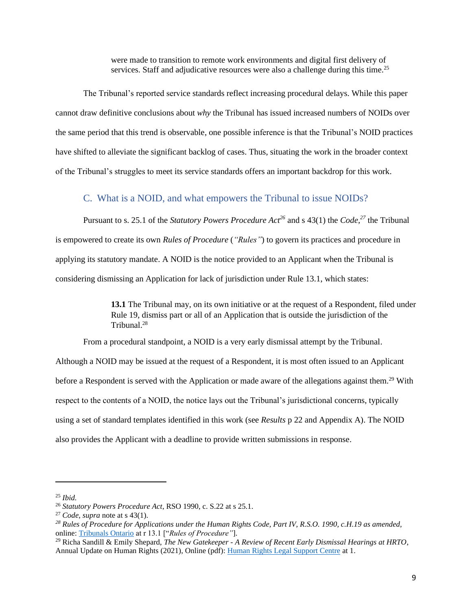were made to transition to remote work environments and digital first delivery of services. Staff and adjudicative resources were also a challenge during this time.<sup>25</sup>

The Tribunal's reported service standards reflect increasing procedural delays. While this paper cannot draw definitive conclusions about *why* the Tribunal has issued increased numbers of NOIDs over the same period that this trend is observable, one possible inference is that the Tribunal's NOID practices have shifted to alleviate the significant backlog of cases. Thus, situating the work in the broader context of the Tribunal's struggles to meet its service standards offers an important backdrop for this work.

#### C. What is a NOID, and what empowers the Tribunal to issue NOIDs?

<span id="page-9-0"></span>Pursuant to s. 25.1 of the *Statutory Powers Procedure Act<sup>26</sup>* and s 43(1) the *Code, <sup>27</sup>* the Tribunal is empowered to create its own *Rules of Procedure* (*"Rules"*) to govern its practices and procedure in applying its statutory mandate. A NOID is the notice provided to an Applicant when the Tribunal is considering dismissing an Application for lack of jurisdiction under Rule 13.1, which states:

> **13.1** The Tribunal may, on its own initiative or at the request of a Respondent, filed under Rule 19, dismiss part or all of an Application that is outside the jurisdiction of the Tribunal. 28

From a procedural standpoint, a NOID is a very early dismissal attempt by the Tribunal.

Although a NOID may be issued at the request of a Respondent, it is most often issued to an Applicant before a Respondent is served with the Application or made aware of the allegations against them.<sup>29</sup> With respect to the contents of a NOID, the notice lays out the Tribunal's jurisdictional concerns, typically using a set of standard templates identified in this work (see *Results* p 22 and Appendix A). The NOID also provides the Applicant with a deadline to provide written submissions in response.

<sup>25</sup> *Ibid.* 

<sup>26</sup> *Statutory Powers Procedure Act*, RSO 1990, c. S.22 at s 25.1.

<sup>27</sup> *Code*, *supra* note at s 43(1).

*<sup>28</sup> Rules of Procedure for Applications under the Human Rights Code, Part IV, R.S.O. 1990, c.H.19 as amended,* online: [Tribunals Ontario](https://tribunalsontario.ca/documents/hrto/Practice%20Directions/HRTO%20Rules%20of%20Procedure.html) at r 13.1 ["*Rules of Procedure"*].

<sup>29</sup> Richa Sandill & Emily Shepard, *The New Gatekeeper - A Review of Recent Early Dismissal Hearings at HRTO*, Annual Update on Human Rights (2021), Online (pdf): [Human Rights Legal Support Centre](https://www.hrlsc.on.ca/sites/default/files/docs/en/Public%20Submissions/The%20New%20Gatekeeper%20-%20A%20Review%20of%20Recent%20Early%20Dismissal%20Hearings%20at%20HRTO.pdf) at 1.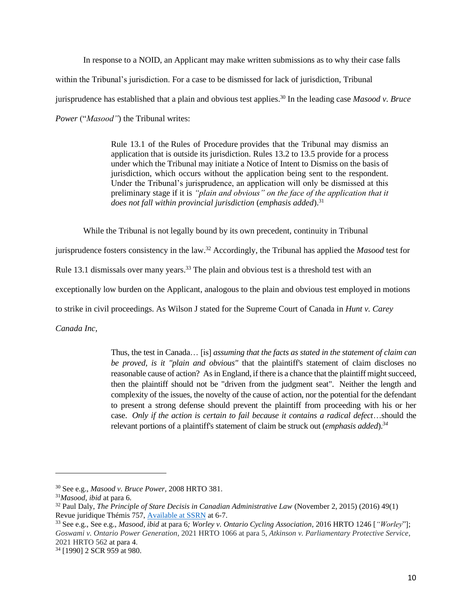In response to a NOID, an Applicant may make written submissions as to why their case falls within the Tribunal's jurisdiction. For a case to be dismissed for lack of jurisdiction, Tribunal jurisprudence has established that a plain and obvious test applies. <sup>30</sup> In the leading case *Masood v. Bruce Power* ("*Masood"*) the Tribunal writes:

> Rule 13.1 of the [Rules of Procedure](https://www.canlii.org/en/on/laws/regu/rro-1990-reg-639/latest/rro-1990-reg-639.html) provides that the Tribunal may dismiss an application that is outside its jurisdiction. [Rules](https://www.canlii.org/en/on/laws/regu/rro-1990-reg-639/latest/rro-1990-reg-639.html) 13.2 to 13.5 provide for a process under which the Tribunal may initiate a Notice of Intent to Dismiss on the basis of jurisdiction, which occurs without the application being sent to the respondent. Under the Tribunal's jurisprudence, an application will only be dismissed at this preliminary stage if it is *"plain and obvious" on the face of the application that it does not fall within provincial jurisdiction (emphasis added).*<sup>31</sup>

While the Tribunal is not legally bound by its own precedent, continuity in Tribunal

jurisprudence fosters consistency in the law.<sup>32</sup> Accordingly, the Tribunal has applied the *Masood* test for

Rule 13.1 dismissals over many years.<sup>33</sup> The plain and obvious test is a threshold test with an

exceptionally low burden on the Applicant, analogous to the plain and obvious test employed in motions

to strike in civil proceedings. As Wilson J stated for the Supreme Court of Canada in *Hunt v. Carey* 

*Canada Inc,*

Thus, the test in Canada… [is] *assuming that the facts as stated in the statement of claim can be proved, is it "plain and obvious"* that the plaintiff's statement of claim discloses no reasonable cause of action? As in England, if there is a chance that the plaintiff might succeed, then the plaintiff should not be "driven from the judgment seat". Neither the length and complexity of the issues, the novelty of the cause of action, nor the potential for the defendant to present a strong defense should prevent the plaintiff from proceeding with his or her case. *Only if the action is certain to fail because it contains a radical defect*…should the relevant portions of a plaintiff's statement of claim be struck out (*emphasis added*).*<sup>34</sup>*

<sup>30</sup> See e.g., *Masood v. Bruce Power*, 2008 HRTO 381.

<sup>31</sup>*Masood, ibid* at para 6.

<sup>32</sup> Paul Daly, *The Principle of Stare Decisis in Canadian Administrative Law* (November 2, 2015) (2016) 49(1) Revue juridique Thémis 757, [Available at SSRN](https://ssrn.com/abstract=2685245%20or%20http:/dx.doi.org/10.2139/ssrn.2685245) at 6-7.

<sup>33</sup> See e.g., See e.g., *Masood, ibid* at para 6*; Worley v. Ontario Cycling Association*, 2016 HRTO 1246 [*"Worley*"]; *Goswami v. Ontario Power Generation*, 2021 HRTO 1066 at para 5, *Atkinson v. Parliamentary Protective Service*, 2021 HRTO 562 at para 4.

<sup>34</sup> [1990] 2 SCR 959 at 980.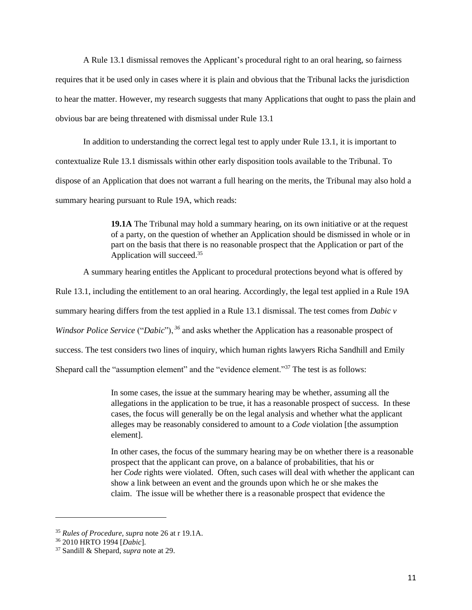A Rule 13.1 dismissal removes the Applicant's procedural right to an oral hearing, so fairness requires that it be used only in cases where it is plain and obvious that the Tribunal lacks the jurisdiction to hear the matter. However, my research suggests that many Applications that ought to pass the plain and obvious bar are being threatened with dismissal under Rule 13.1

In addition to understanding the correct legal test to apply under Rule 13.1, it is important to contextualize Rule 13.1 dismissals within other early disposition tools available to the Tribunal. To dispose of an Application that does not warrant a full hearing on the merits, the Tribunal may also hold a summary hearing pursuant to Rule 19A, which reads:

> **19.1A** The Tribunal may hold a summary hearing, on its own initiative or at the request of a party, on the question of whether an Application should be dismissed in whole or in part on the basis that there is no reasonable prospect that the Application or part of the Application will succeed.<sup>35</sup>

A summary hearing entitles the Applicant to procedural protections beyond what is offered by

Rule 13.1, including the entitlement to an oral hearing. Accordingly, the legal test applied in a Rule 19A

summary hearing differs from the test applied in a Rule 13.1 dismissal. The test comes from *Dabic v* 

*Windsor Police Service* ("*Dabic*"), <sup>36</sup> and asks whether the Application has a reasonable prospect of

success. The test considers two lines of inquiry, which human rights lawyers Richa Sandhill and Emily

Shepard call the "assumption element" and the "evidence element."<sup>37</sup> The test is as follows:

In some cases, the issue at the summary hearing may be whether, assuming all the allegations in the application to be true, it has a reasonable prospect of success. In these cases, the focus will generally be on the legal analysis and whether what the applicant alleges may be reasonably considered to amount to a *Code* violation [the assumption element].

In other cases, the focus of the summary hearing may be on whether there is a reasonable prospect that the applicant can prove, on a balance of probabilities, that his or her *Code* rights were violated. Often, such cases will deal with whether the applicant can show a link between an event and the grounds upon which he or she makes the claim. The issue will be whether there is a reasonable prospect that evidence the

<sup>35</sup> *Rules of Procedure, supra* note 26 at r 19.1A.

<sup>36</sup> 2010 HRTO 1994 [*Dabic*].

<sup>37</sup> Sandill & Shepard, *supra* note at 29.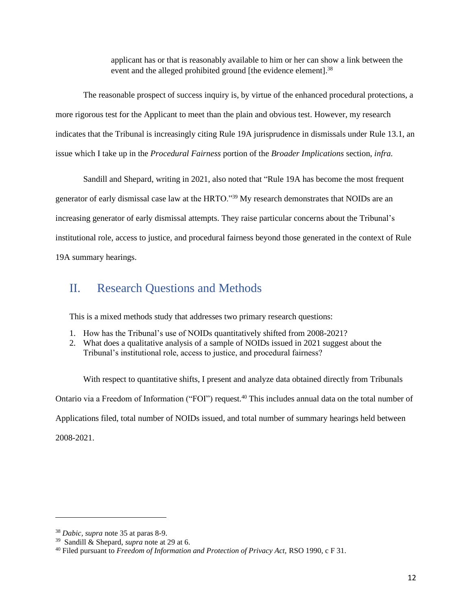applicant has or that is reasonably available to him or her can show a link between the event and the alleged prohibited ground [the evidence element].<sup>38</sup>

The reasonable prospect of success inquiry is, by virtue of the enhanced procedural protections, a more rigorous test for the Applicant to meet than the plain and obvious test. However, my research indicates that the Tribunal is increasingly citing Rule 19A jurisprudence in dismissals under Rule 13.1, an issue which I take up in the *Procedural Fairness* portion of the *Broader Implications* section, *infra.* 

Sandill and Shepard, writing in 2021, also noted that "Rule 19A has become the most frequent generator of early dismissal case law at the HRTO."<sup>39</sup> My research demonstrates that NOIDs are an increasing generator of early dismissal attempts. They raise particular concerns about the Tribunal's institutional role, access to justice, and procedural fairness beyond those generated in the context of Rule 19A summary hearings.

# <span id="page-12-0"></span>II. Research Questions and Methods

This is a mixed methods study that addresses two primary research questions:

- 1. How has the Tribunal's use of NOIDs quantitatively shifted from 2008-2021?
- 2. What does a qualitative analysis of a sample of NOIDs issued in 2021 suggest about the Tribunal's institutional role, access to justice, and procedural fairness?

With respect to quantitative shifts, I present and analyze data obtained directly from Tribunals Ontario via a Freedom of Information ("FOI") request.<sup>40</sup> This includes annual data on the total number of Applications filed, total number of NOIDs issued, and total number of summary hearings held between 2008-2021.

<sup>38</sup> *Dabic, supra* note 35 at paras 8-9.

<sup>39</sup> Sandill & Shepard, *supra* note at 29 at 6.

<sup>&</sup>lt;sup>40</sup> Filed pursuant to *Freedom of Information and Protection of Privacy Act*, RSO 1990, c F 31.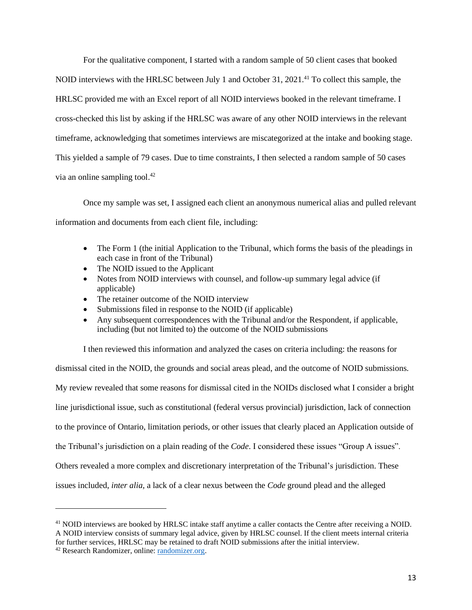For the qualitative component, I started with a random sample of 50 client cases that booked NOID interviews with the HRLSC between July 1 and October 31, 2021.<sup>41</sup> To collect this sample, the HRLSC provided me with an Excel report of all NOID interviews booked in the relevant timeframe. I cross-checked this list by asking if the HRLSC was aware of any other NOID interviews in the relevant timeframe, acknowledging that sometimes interviews are miscategorized at the intake and booking stage. This yielded a sample of 79 cases. Due to time constraints, I then selected a random sample of 50 cases via an online sampling tool. 42

Once my sample was set, I assigned each client an anonymous numerical alias and pulled relevant information and documents from each client file, including:

- The Form 1 (the initial Application to the Tribunal, which forms the basis of the pleadings in each case in front of the Tribunal)
- The NOID issued to the Applicant
- Notes from NOID interviews with counsel, and follow-up summary legal advice (if applicable)
- The retainer outcome of the NOID interview
- Submissions filed in response to the NOID (if applicable)
- Any subsequent correspondences with the Tribunal and/or the Respondent, if applicable, including (but not limited to) the outcome of the NOID submissions

I then reviewed this information and analyzed the cases on criteria including: the reasons for

dismissal cited in the NOID, the grounds and social areas plead, and the outcome of NOID submissions. My review revealed that some reasons for dismissal cited in the NOIDs disclosed what I consider a bright line jurisdictional issue, such as constitutional (federal versus provincial) jurisdiction, lack of connection to the province of Ontario, limitation periods, or other issues that clearly placed an Application outside of the Tribunal's jurisdiction on a plain reading of the *Code*. I considered these issues "Group A issues". Others revealed a more complex and discretionary interpretation of the Tribunal's jurisdiction. These issues included, *inter alia,* a lack of a clear nexus between the *Code* ground plead and the alleged

<sup>&</sup>lt;sup>41</sup> NOID interviews are booked by HRLSC intake staff anytime a caller contacts the Centre after receiving a NOID. A NOID interview consists of summary legal advice, given by HRLSC counsel. If the client meets internal criteria for further services, HRLSC may be retained to draft NOID submissions after the initial interview.

<sup>42</sup> Research Randomizer, online: [randomizer.org.](https://www.randomizer.org/)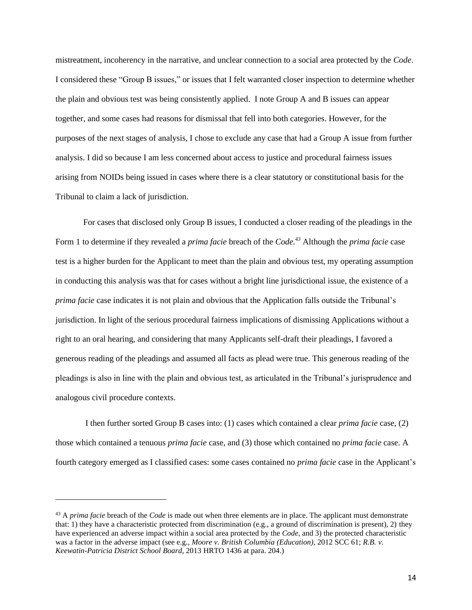mistreatment, incoherency in the narrative, and unclear connection to a social area protected by the *Code*. I considered these "Group B issues," or issues that I felt warranted closer inspection to determine whether the plain and obvious test was being consistently applied. I note Group A and B issues can appear together, and some cases had reasons for dismissal that fell into both categories. However, for the purposes of the next stages of analysis, I chose to exclude any case that had a Group A issue from further analysis. I did so because I am less concerned about access to justice and procedural fairness issues arising from NOIDs being issued in cases where there is a clear statutory or constitutional basis for the Tribunal to claim a lack of jurisdiction.

For cases that disclosed only Group B issues, I conducted a closer reading of the pleadings in the Form 1 to determine if they revealed a *prima facie* breach of the *Code. <sup>43</sup>* Although the *prima facie* case test is a higher burden for the Applicant to meet than the plain and obvious test, my operating assumption in conducting this analysis was that for cases without a bright line jurisdictional issue, the existence of a *prima facie* case indicates it is not plain and obvious that the Application falls outside the Tribunal's jurisdiction. In light of the serious procedural fairness implications of dismissing Applications without a right to an oral hearing, and considering that many Applicants self-draft their pleadings, I favored a generous reading of the pleadings and assumed all facts as plead were true. This generous reading of the pleadings is also in line with the plain and obvious test, as articulated in the Tribunal's jurisprudence and analogous civil procedure contexts.

I then further sorted Group B cases into: (1) cases which contained a clear *prima facie* case, (2) those which contained a tenuous *prima facie* case, and (3) those which contained no *prima facie* case. A fourth category emerged as I classified cases: some cases contained no *prima facie* case in the Applicant's

<sup>43</sup> A *prima facie* breach of the *Code* is made out when three elements are in place. The applicant must demonstrate that: 1) they have a characteristic protected from discrimination (e.g., a ground of discrimination is present), 2) they have experienced an adverse impact within a social area protected by the *Code*, and 3) the protected characteristic was a factor in the adverse impact (see e.g., *Moore v. British Columbia (Education)*, 2012 SCC 61; *R.B. v. Keewatin-Patricia District School Board*, 2013 HRTO 1436 at para. 204.)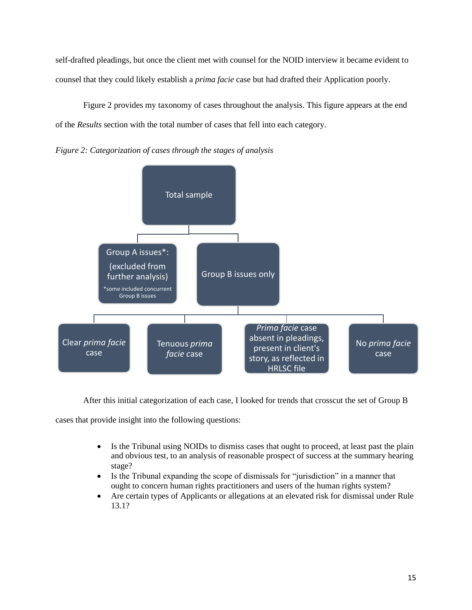self-drafted pleadings, but once the client met with counsel for the NOID interview it became evident to counsel that they could likely establish a *prima facie* case but had drafted their Application poorly.

Figure 2 provides my taxonomy of cases throughout the analysis. This figure appears at the end of the *Results* section with the total number of cases that fell into each category.





After this initial categorization of each case, I looked for trends that crosscut the set of Group B

cases that provide insight into the following questions:

- Is the Tribunal using NOIDs to dismiss cases that ought to proceed, at least past the plain and obvious test, to an analysis of reasonable prospect of success at the summary hearing stage?
- Is the Tribunal expanding the scope of dismissals for "jurisdiction" in a manner that ought to concern human rights practitioners and users of the human rights system?
- Are certain types of Applicants or allegations at an elevated risk for dismissal under Rule 13.1?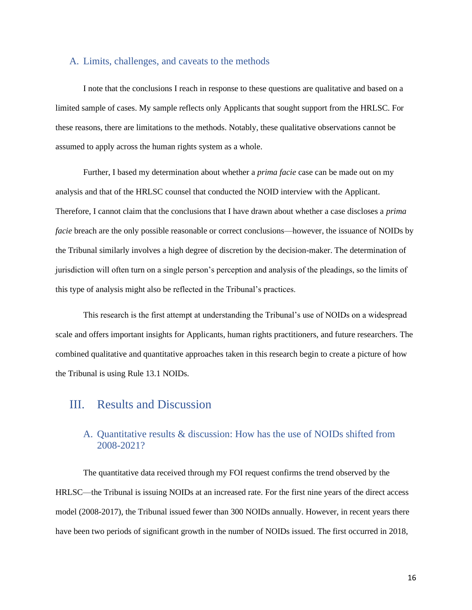#### <span id="page-16-0"></span>A. Limits, challenges, and caveats to the methods

I note that the conclusions I reach in response to these questions are qualitative and based on a limited sample of cases. My sample reflects only Applicants that sought support from the HRLSC. For these reasons, there are limitations to the methods. Notably, these qualitative observations cannot be assumed to apply across the human rights system as a whole.

Further, I based my determination about whether a *prima facie* case can be made out on my analysis and that of the HRLSC counsel that conducted the NOID interview with the Applicant. Therefore, I cannot claim that the conclusions that I have drawn about whether a case discloses a *prima facie* breach are the only possible reasonable or correct conclusions—however, the issuance of NOIDs by the Tribunal similarly involves a high degree of discretion by the decision-maker. The determination of jurisdiction will often turn on a single person's perception and analysis of the pleadings, so the limits of this type of analysis might also be reflected in the Tribunal's practices.

This research is the first attempt at understanding the Tribunal's use of NOIDs on a widespread scale and offers important insights for Applicants, human rights practitioners, and future researchers. The combined qualitative and quantitative approaches taken in this research begin to create a picture of how the Tribunal is using Rule 13.1 NOIDs.

## <span id="page-16-1"></span>III. Results and Discussion

## <span id="page-16-2"></span>A. Quantitative results & discussion: How has the use of NOIDs shifted from 2008-2021?

The quantitative data received through my FOI request confirms the trend observed by the HRLSC—the Tribunal is issuing NOIDs at an increased rate. For the first nine years of the direct access model (2008-2017), the Tribunal issued fewer than 300 NOIDs annually. However, in recent years there have been two periods of significant growth in the number of NOIDs issued. The first occurred in 2018,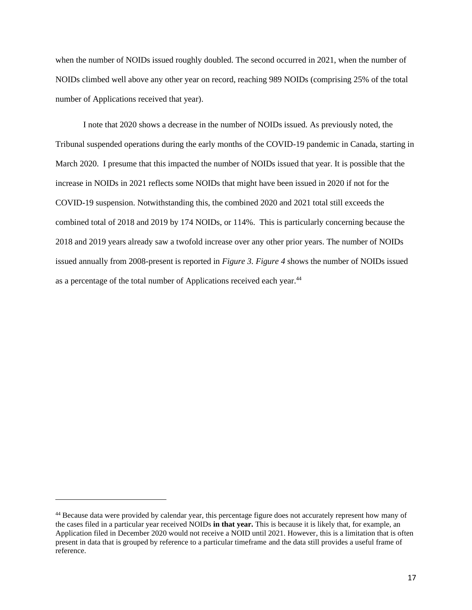when the number of NOIDs issued roughly doubled. The second occurred in 2021, when the number of NOIDs climbed well above any other year on record, reaching 989 NOIDs (comprising 25% of the total number of Applications received that year).

I note that 2020 shows a decrease in the number of NOIDs issued. As previously noted, the Tribunal suspended operations during the early months of the COVID-19 pandemic in Canada, starting in March 2020. I presume that this impacted the number of NOIDs issued that year. It is possible that the increase in NOIDs in 2021 reflects some NOIDs that might have been issued in 2020 if not for the COVID-19 suspension. Notwithstanding this, the combined 2020 and 2021 total still exceeds the combined total of 2018 and 2019 by 174 NOIDs, or 114%. This is particularly concerning because the 2018 and 2019 years already saw a twofold increase over any other prior years. The number of NOIDs issued annually from 2008-present is reported in *Figure 3. Figure 4* shows the number of NOIDs issued as a percentage of the total number of Applications received each year.<sup>44</sup>

<sup>&</sup>lt;sup>44</sup> Because data were provided by calendar year, this percentage figure does not accurately represent how many of the cases filed in a particular year received NOIDs **in that year.** This is because it is likely that, for example, an Application filed in December 2020 would not receive a NOID until 2021. However, this is a limitation that is often present in data that is grouped by reference to a particular timeframe and the data still provides a useful frame of reference.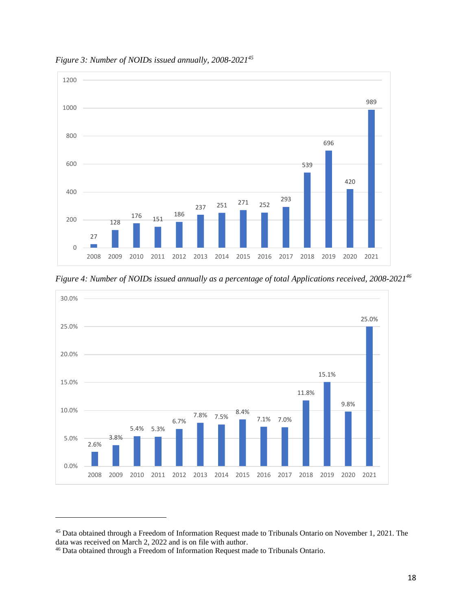

*Figure 3: Number of NOIDs issued annually, 2008-2021<sup>45</sup>*

*Figure 4: Number of NOIDs issued annually as a percentage of total Applications received, 2008-2021<sup>46</sup>*



<sup>&</sup>lt;sup>45</sup> Data obtained through a Freedom of Information Request made to Tribunals Ontario on November 1, 2021. The data was received on March 2, 2022 and is on file with author.

<sup>46</sup> Data obtained through a Freedom of Information Request made to Tribunals Ontario.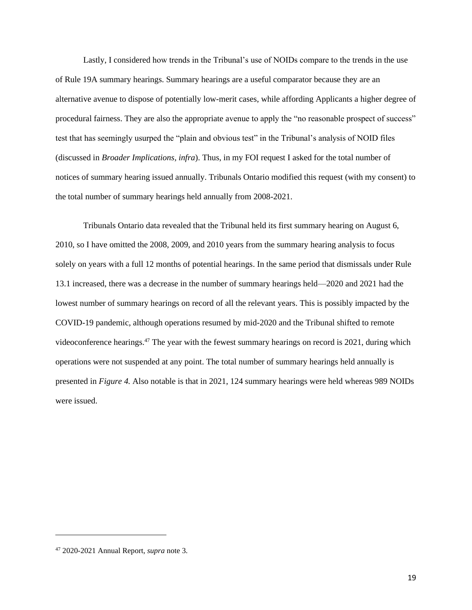Lastly, I considered how trends in the Tribunal's use of NOIDs compare to the trends in the use of Rule 19A summary hearings. Summary hearings are a useful comparator because they are an alternative avenue to dispose of potentially low-merit cases, while affording Applicants a higher degree of procedural fairness. They are also the appropriate avenue to apply the "no reasonable prospect of success" test that has seemingly usurped the "plain and obvious test" in the Tribunal's analysis of NOID files (discussed in *Broader Implications, infra*). Thus, in my FOI request I asked for the total number of notices of summary hearing issued annually. Tribunals Ontario modified this request (with my consent) to the total number of summary hearings held annually from 2008-2021.

Tribunals Ontario data revealed that the Tribunal held its first summary hearing on August 6, 2010, so I have omitted the 2008, 2009, and 2010 years from the summary hearing analysis to focus solely on years with a full 12 months of potential hearings. In the same period that dismissals under Rule 13.1 increased, there was a decrease in the number of summary hearings held—2020 and 2021 had the lowest number of summary hearings on record of all the relevant years. This is possibly impacted by the COVID-19 pandemic, although operations resumed by mid-2020 and the Tribunal shifted to remote videoconference hearings.<sup>47</sup> The year with the fewest summary hearings on record is 2021, during which operations were not suspended at any point. The total number of summary hearings held annually is presented in *Figure 4.* Also notable is that in 2021, 124 summary hearings were held whereas 989 NOIDs were issued.

<sup>47</sup> 2020-2021 Annual Report, *supra* note 3.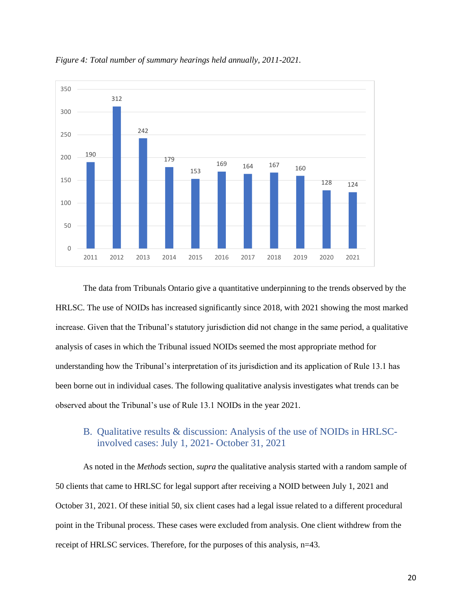

*Figure 4: Total number of summary hearings held annually, 2011-2021.* 

The data from Tribunals Ontario give a quantitative underpinning to the trends observed by the HRLSC. The use of NOIDs has increased significantly since 2018, with 2021 showing the most marked increase. Given that the Tribunal's statutory jurisdiction did not change in the same period, a qualitative analysis of cases in which the Tribunal issued NOIDs seemed the most appropriate method for understanding how the Tribunal's interpretation of its jurisdiction and its application of Rule 13.1 has been borne out in individual cases. The following qualitative analysis investigates what trends can be observed about the Tribunal's use of Rule 13.1 NOIDs in the year 2021.

## <span id="page-20-0"></span>B. Qualitative results & discussion: Analysis of the use of NOIDs in HRLSCinvolved cases: July 1, 2021- October 31, 2021

As noted in the *Methods* section, *supra* the qualitative analysis started with a random sample of 50 clients that came to HRLSC for legal support after receiving a NOID between July 1, 2021 and October 31, 2021. Of these initial 50, six client cases had a legal issue related to a different procedural point in the Tribunal process. These cases were excluded from analysis. One client withdrew from the receipt of HRLSC services. Therefore, for the purposes of this analysis, n=43.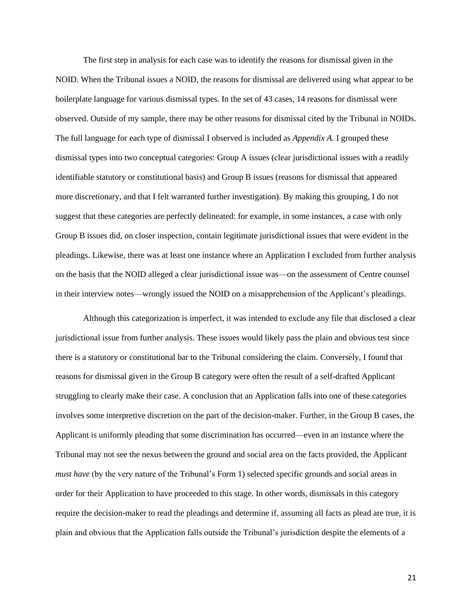The first step in analysis for each case was to identify the reasons for dismissal given in the NOID. When the Tribunal issues a NOID, the reasons for dismissal are delivered using what appear to be boilerplate language for various dismissal types. In the set of 43 cases, 14 reasons for dismissal were observed. Outside of my sample, there may be other reasons for dismissal cited by the Tribunal in NOIDs. The full language for each type of dismissal I observed is included as *Appendix A.* I grouped these dismissal types into two conceptual categories: Group A issues (clear jurisdictional issues with a readily identifiable statutory or constitutional basis) and Group B issues (reasons for dismissal that appeared more discretionary, and that I felt warranted further investigation). By making this grouping, I do not suggest that these categories are perfectly delineated: for example, in some instances, a case with only Group B issues did, on closer inspection, contain legitimate jurisdictional issues that were evident in the pleadings. Likewise, there was at least one instance where an Application I excluded from further analysis on the basis that the NOID alleged a clear jurisdictional issue was—on the assessment of Centre counsel in their interview notes—wrongly issued the NOID on a misapprehension of the Applicant's pleadings.

Although this categorization is imperfect, it was intended to exclude any file that disclosed a clear jurisdictional issue from further analysis. These issues would likely pass the plain and obvious test since there is a statutory or constitutional bar to the Tribunal considering the claim. Conversely, I found that reasons for dismissal given in the Group B category were often the result of a self-drafted Applicant struggling to clearly make their case. A conclusion that an Application falls into one of these categories involves some interpretive discretion on the part of the decision-maker. Further, in the Group B cases, the Applicant is uniformly pleading that some discrimination has occurred—even in an instance where the Tribunal may not see the nexus between the ground and social area on the facts provided, the Applicant *must have* (by the very nature of the Tribunal's Form 1) selected specific grounds and social areas in order for their Application to have proceeded to this stage. In other words, dismissals in this category require the decision-maker to read the pleadings and determine if, assuming all facts as plead are true, it is plain and obvious that the Application falls outside the Tribunal's jurisdiction despite the elements of a

21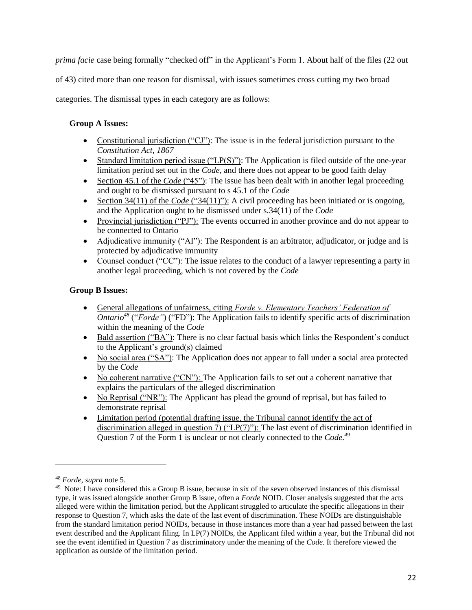*prima facie* case being formally "checked off" in the Applicant's Form 1. About half of the files (22 out

of 43) cited more than one reason for dismissal, with issues sometimes cross cutting my two broad

categories. The dismissal types in each category are as follows:

### **Group A Issues:**

- Constitutional jurisdiction ("CJ"): The issue is in the federal jurisdiction pursuant to the *Constitution Act, 1867*
- Standard limitation period issue ("LP(S)"): The Application is filed outside of the one-year limitation period set out in the *Code,* and there does not appear to be good faith delay
- Section 45.1 of the *Code* ("45"): The issue has been dealt with in another legal proceeding and ought to be dismissed pursuant to s 45.1 of the *Code*
- Section 34(11) of the *Code* ("34(11)"): A civil proceeding has been initiated or is ongoing, and the Application ought to be dismissed under s.34(11) of the *Code*
- Provincial jurisdiction ("PJ"): The events occurred in another province and do not appear to be connected to Ontario
- Adjudicative immunity ("AI"): The Respondent is an arbitrator, adjudicator, or judge and is protected by adjudicative immunity
- Counsel conduct ("CC"): The issue relates to the conduct of a lawyer representing a party in another legal proceeding, which is not covered by the *Code*

### **Group B Issues:**

- General allegations of unfairness, citing *Forde v. Elementary Teachers' Federation of Ontario<sup>48</sup>* ("*Forde"*) ("FD"): The Application fails to identify specific acts of discrimination within the meaning of the *Code*
- Bald assertion ("BA"): There is no clear factual basis which links the Respondent's conduct to the Applicant's ground(s) claimed
- No social area ("SA"): The Application does not appear to fall under a social area protected by the *Code*
- No coherent narrative ("CN"): The Application fails to set out a coherent narrative that explains the particulars of the alleged discrimination
- No Reprisal ("NR"): The Applicant has plead the ground of reprisal, but has failed to demonstrate reprisal
- Limitation period (potential drafting issue, the Tribunal cannot identify the act of discrimination alleged in question 7) ("LP(7)"): The last event of discrimination identified in Question 7 of the Form 1 is unclear or not clearly connected to the *Code. 49*

<sup>48</sup> *Forde, supra* note 5.

<sup>&</sup>lt;sup>49</sup> Note: I have considered this a Group B issue, because in six of the seven observed instances of this dismissal type, it was issued alongside another Group B issue, often a *Forde* NOID. Closer analysis suggested that the acts alleged were within the limitation period, but the Applicant struggled to articulate the specific allegations in their response to Question 7, which asks the date of the last event of discrimination. These NOIDs are distinguishable from the standard limitation period NOIDs, because in those instances more than a year had passed between the last event described and the Applicant filing. In LP(7) NOIDs, the Applicant filed within a year, but the Tribunal did not see the event identified in Question 7 as discriminatory under the meaning of the *Code.* It therefore viewed the application as outside of the limitation period.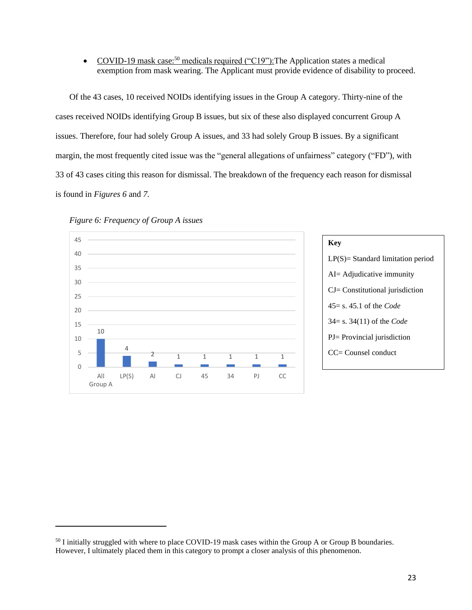• COVID-19 mask case:<sup>50</sup> medicals required ("C19"): The Application states a medical exemption from mask wearing. The Applicant must provide evidence of disability to proceed.

Of the 43 cases, 10 received NOIDs identifying issues in the Group A category. Thirty-nine of the cases received NOIDs identifying Group B issues, but six of these also displayed concurrent Group A issues. Therefore, four had solely Group A issues, and 33 had solely Group B issues. By a significant margin, the most frequently cited issue was the "general allegations of unfairness" category ("FD"), with 33 of 43 cases citing this reason for dismissal. The breakdown of the frequency each reason for dismissal is found in *Figures 6* and *7.* 





<sup>&</sup>lt;sup>50</sup> I initially struggled with where to place COVID-19 mask cases within the Group A or Group B boundaries. However, I ultimately placed them in this category to prompt a closer analysis of this phenomenon.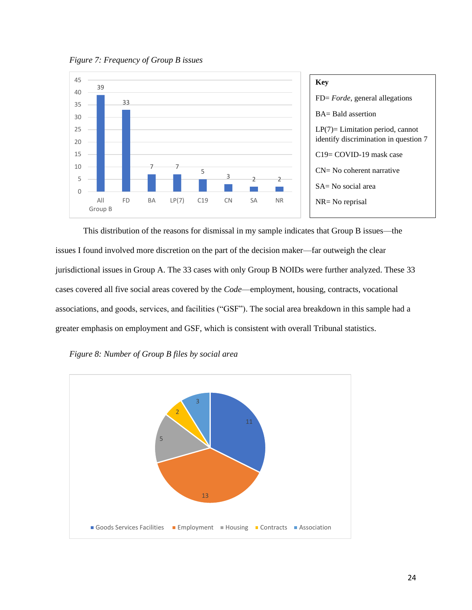*Figure 7: Frequency of Group B issues*



This distribution of the reasons for dismissal in my sample indicates that Group B issues—the issues I found involved more discretion on the part of the decision maker—far outweigh the clear jurisdictional issues in Group A. The 33 cases with only Group B NOIDs were further analyzed. These 33 cases covered all five social areas covered by the *Code*—employment, housing, contracts, vocational associations, and goods, services, and facilities ("GSF"). The social area breakdown in this sample had a greater emphasis on employment and GSF, which is consistent with overall Tribunal statistics.

*Figure 8: Number of Group B files by social area* 

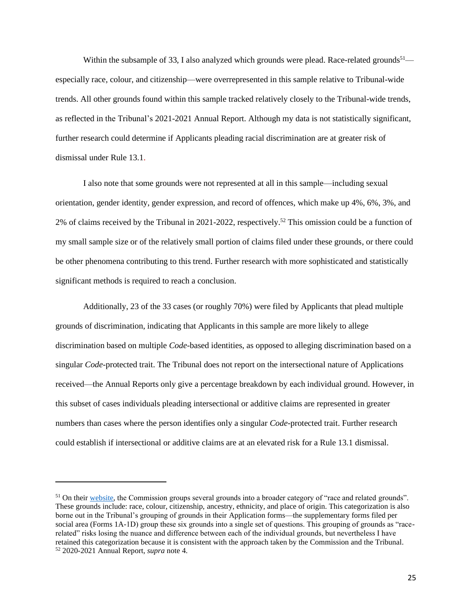Within the subsample of 33, I also analyzed which grounds were plead. Race-related grounds<sup>51</sup> especially race, colour, and citizenship—were overrepresented in this sample relative to Tribunal-wide trends. All other grounds found within this sample tracked relatively closely to the Tribunal-wide trends, as reflected in the Tribunal's 2021-2021 Annual Report. Although my data is not statistically significant, further research could determine if Applicants pleading racial discrimination are at greater risk of dismissal under Rule 13.1.

I also note that some grounds were not represented at all in this sample—including sexual orientation, gender identity, gender expression, and record of offences, which make up 4%, 6%, 3%, and 2% of claims received by the Tribunal in 2021-2022, respectively.<sup>52</sup> This omission could be a function of my small sample size or of the relatively small portion of claims filed under these grounds, or there could be other phenomena contributing to this trend. Further research with more sophisticated and statistically significant methods is required to reach a conclusion.

Additionally, 23 of the 33 cases (or roughly 70%) were filed by Applicants that plead multiple grounds of discrimination, indicating that Applicants in this sample are more likely to allege discrimination based on multiple *Code*-based identities, as opposed to alleging discrimination based on a singular *Code-*protected trait. The Tribunal does not report on the intersectional nature of Applications received—the Annual Reports only give a percentage breakdown by each individual ground. However, in this subset of cases individuals pleading intersectional or additive claims are represented in greater numbers than cases where the person identifies only a singular *Code*-protected trait. Further research could establish if intersectional or additive claims are at an elevated risk for a Rule 13.1 dismissal.

<sup>&</sup>lt;sup>51</sup> On thei[r website,](https://www.ohrc.on.ca/) the Commission groups several grounds into a broader category of "race and related grounds". These grounds include: race, colour, citizenship, ancestry, ethnicity, and place of origin. This categorization is also borne out in the Tribunal's grouping of grounds in their Application forms—the supplementary forms filed per social area (Forms 1A-1D) group these six grounds into a single set of questions. This grouping of grounds as "racerelated" risks losing the nuance and difference between each of the individual grounds, but nevertheless I have retained this categorization because it is consistent with the approach taken by the Commission and the Tribunal. <sup>52</sup> 2020-2021 Annual Report, *supra* note 4.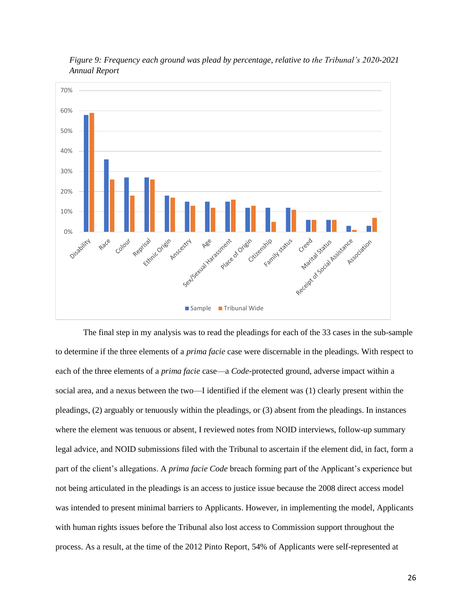

*Figure 9: Frequency each ground was plead by percentage, relative to the Tribunal's 2020-2021 Annual Report*

The final step in my analysis was to read the pleadings for each of the 33 cases in the sub-sample to determine if the three elements of a *prima facie* case were discernable in the pleadings. With respect to each of the three elements of a *prima facie* case—a *Code-*protected ground, adverse impact within a social area, and a nexus between the two—I identified if the element was (1) clearly present within the pleadings, (2) arguably or tenuously within the pleadings, or (3) absent from the pleadings. In instances where the element was tenuous or absent, I reviewed notes from NOID interviews, follow-up summary legal advice, and NOID submissions filed with the Tribunal to ascertain if the element did, in fact, form a part of the client's allegations. A *prima facie Code* breach forming part of the Applicant's experience but not being articulated in the pleadings is an access to justice issue because the 2008 direct access model was intended to present minimal barriers to Applicants. However, in implementing the model, Applicants with human rights issues before the Tribunal also lost access to Commission support throughout the process. As a result, at the time of the 2012 Pinto Report, 54% of Applicants were self-represented at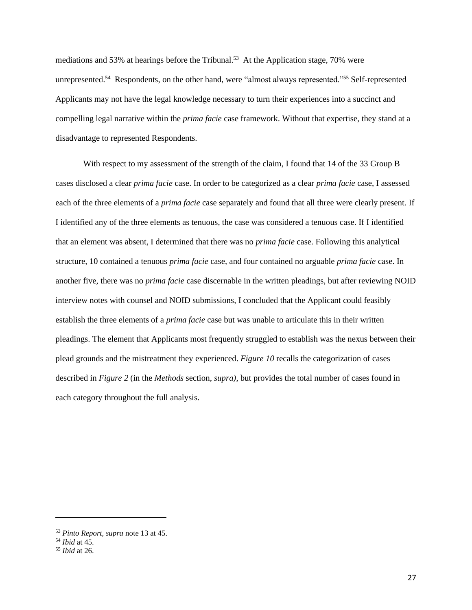mediations and 53% at hearings before the Tribunal.<sup>53</sup> At the Application stage, 70% were unrepresented.<sup>54</sup> Respondents, on the other hand, were "almost always represented."<sup>55</sup> Self-represented Applicants may not have the legal knowledge necessary to turn their experiences into a succinct and compelling legal narrative within the *prima facie* case framework. Without that expertise, they stand at a disadvantage to represented Respondents.

With respect to my assessment of the strength of the claim, I found that 14 of the 33 Group B cases disclosed a clear *prima facie* case. In order to be categorized as a clear *prima facie* case, I assessed each of the three elements of a *prima facie* case separately and found that all three were clearly present. If I identified any of the three elements as tenuous, the case was considered a tenuous case. If I identified that an element was absent, I determined that there was no *prima facie* case. Following this analytical structure, 10 contained a tenuous *prima facie* case, and four contained no arguable *prima facie* case. In another five, there was no *prima facie* case discernable in the written pleadings, but after reviewing NOID interview notes with counsel and NOID submissions, I concluded that the Applicant could feasibly establish the three elements of a *prima facie* case but was unable to articulate this in their written pleadings. The element that Applicants most frequently struggled to establish was the nexus between their plead grounds and the mistreatment they experienced. *Figure 10* recalls the categorization of cases described in *Figure 2* (in the *Methods* section, *supra)*, but provides the total number of cases found in each category throughout the full analysis.

<sup>53</sup> *Pinto Report, supra* note 13 at 45.

<sup>54</sup> *Ibid* at 45.

<sup>55</sup> *Ibid* at 26.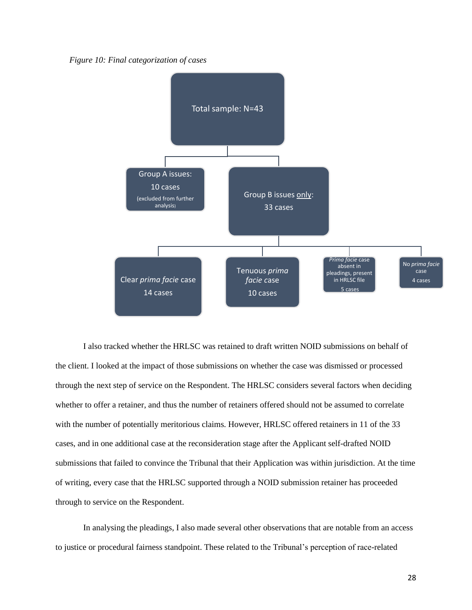*Figure 10: Final categorization of cases*



I also tracked whether the HRLSC was retained to draft written NOID submissions on behalf of the client. I looked at the impact of those submissions on whether the case was dismissed or processed through the next step of service on the Respondent. The HRLSC considers several factors when deciding whether to offer a retainer, and thus the number of retainers offered should not be assumed to correlate with the number of potentially meritorious claims. However, HRLSC offered retainers in 11 of the 33 cases, and in one additional case at the reconsideration stage after the Applicant self-drafted NOID submissions that failed to convince the Tribunal that their Application was within jurisdiction. At the time of writing, every case that the HRLSC supported through a NOID submission retainer has proceeded through to service on the Respondent.

In analysing the pleadings, I also made several other observations that are notable from an access to justice or procedural fairness standpoint. These related to the Tribunal's perception of race-related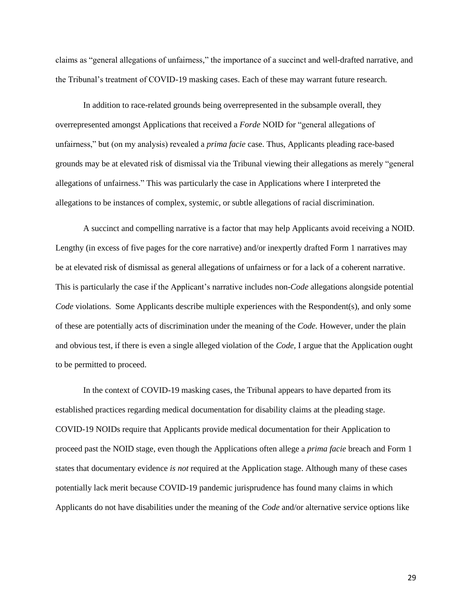claims as "general allegations of unfairness," the importance of a succinct and well-drafted narrative, and the Tribunal's treatment of COVID-19 masking cases. Each of these may warrant future research.

In addition to race-related grounds being overrepresented in the subsample overall, they overrepresented amongst Applications that received a *Forde* NOID for "general allegations of unfairness," but (on my analysis) revealed a *prima facie* case. Thus, Applicants pleading race-based grounds may be at elevated risk of dismissal via the Tribunal viewing their allegations as merely "general allegations of unfairness." This was particularly the case in Applications where I interpreted the allegations to be instances of complex, systemic, or subtle allegations of racial discrimination.

A succinct and compelling narrative is a factor that may help Applicants avoid receiving a NOID. Lengthy (in excess of five pages for the core narrative) and/or inexpertly drafted Form 1 narratives may be at elevated risk of dismissal as general allegations of unfairness or for a lack of a coherent narrative. This is particularly the case if the Applicant's narrative includes non-*Code* allegations alongside potential *Code* violations. Some Applicants describe multiple experiences with the Respondent(s), and only some of these are potentially acts of discrimination under the meaning of the *Code.* However, under the plain and obvious test, if there is even a single alleged violation of the *Code,* I argue that the Application ought to be permitted to proceed.

In the context of COVID-19 masking cases, the Tribunal appears to have departed from its established practices regarding medical documentation for disability claims at the pleading stage. COVID-19 NOIDs require that Applicants provide medical documentation for their Application to proceed past the NOID stage, even though the Applications often allege a *prima facie* breach and Form 1 states that documentary evidence *is not* required at the Application stage. Although many of these cases potentially lack merit because COVID-19 pandemic jurisprudence has found many claims in which Applicants do not have disabilities under the meaning of the *Code* and/or alternative service options like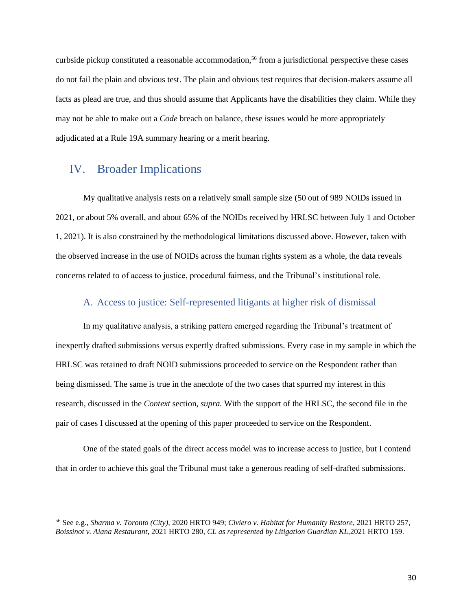curbside pickup constituted a reasonable accommodation, <sup>56</sup> from a jurisdictional perspective these cases do not fail the plain and obvious test. The plain and obvious test requires that decision-makers assume all facts as plead are true, and thus should assume that Applicants have the disabilities they claim. While they may not be able to make out a *Code* breach on balance, these issues would be more appropriately adjudicated at a Rule 19A summary hearing or a merit hearing.

## <span id="page-30-0"></span>IV. Broader Implications

My qualitative analysis rests on a relatively small sample size (50 out of 989 NOIDs issued in 2021, or about 5% overall, and about 65% of the NOIDs received by HRLSC between July 1 and October 1, 2021). It is also constrained by the methodological limitations discussed above. However, taken with the observed increase in the use of NOIDs across the human rights system as a whole, the data reveals concerns related to of access to justice, procedural fairness, and the Tribunal's institutional role.

### A. Access to justice: Self-represented litigants at higher risk of dismissal

<span id="page-30-1"></span>In my qualitative analysis, a striking pattern emerged regarding the Tribunal's treatment of inexpertly drafted submissions versus expertly drafted submissions. Every case in my sample in which the HRLSC was retained to draft NOID submissions proceeded to service on the Respondent rather than being dismissed. The same is true in the anecdote of the two cases that spurred my interest in this research, discussed in the *Context* section, *supra.* With the support of the HRLSC, the second file in the pair of cases I discussed at the opening of this paper proceeded to service on the Respondent.

One of the stated goals of the direct access model was to increase access to justice, but I contend that in order to achieve this goal the Tribunal must take a generous reading of self-drafted submissions.

<sup>56</sup> See e.g., *Sharma v. Toronto (City),* 2020 HRTO 949; *Civiero v. Habitat for Humanity Restore*, 2021 HRTO 257, *Boissinot v. Aiana Restaurant*, 2021 HRTO 280, *CL as represented by Litigation Guardian KL,*2021 HRTO 159.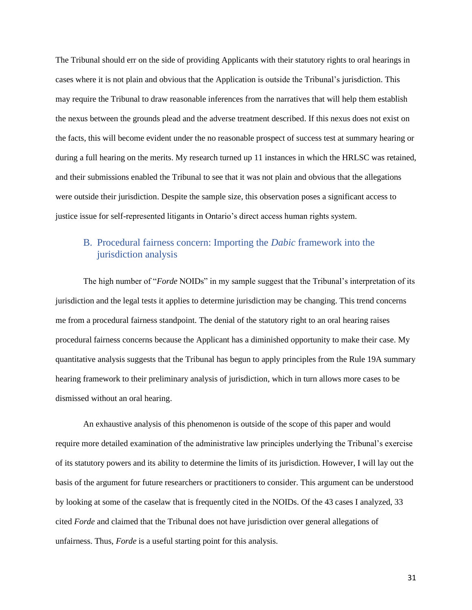The Tribunal should err on the side of providing Applicants with their statutory rights to oral hearings in cases where it is not plain and obvious that the Application is outside the Tribunal's jurisdiction. This may require the Tribunal to draw reasonable inferences from the narratives that will help them establish the nexus between the grounds plead and the adverse treatment described. If this nexus does not exist on the facts, this will become evident under the no reasonable prospect of success test at summary hearing or during a full hearing on the merits. My research turned up 11 instances in which the HRLSC was retained, and their submissions enabled the Tribunal to see that it was not plain and obvious that the allegations were outside their jurisdiction. Despite the sample size, this observation poses a significant access to justice issue for self-represented litigants in Ontario's direct access human rights system.

## <span id="page-31-0"></span>B. Procedural fairness concern: Importing the *Dabic* framework into the jurisdiction analysis

The high number of "*Forde* NOIDs" in my sample suggest that the Tribunal's interpretation of its jurisdiction and the legal tests it applies to determine jurisdiction may be changing. This trend concerns me from a procedural fairness standpoint. The denial of the statutory right to an oral hearing raises procedural fairness concerns because the Applicant has a diminished opportunity to make their case. My quantitative analysis suggests that the Tribunal has begun to apply principles from the Rule 19A summary hearing framework to their preliminary analysis of jurisdiction, which in turn allows more cases to be dismissed without an oral hearing.

An exhaustive analysis of this phenomenon is outside of the scope of this paper and would require more detailed examination of the administrative law principles underlying the Tribunal's exercise of its statutory powers and its ability to determine the limits of its jurisdiction. However, I will lay out the basis of the argument for future researchers or practitioners to consider. This argument can be understood by looking at some of the caselaw that is frequently cited in the NOIDs. Of the 43 cases I analyzed, 33 cited *Forde* and claimed that the Tribunal does not have jurisdiction over general allegations of unfairness. Thus, *Forde* is a useful starting point for this analysis.

31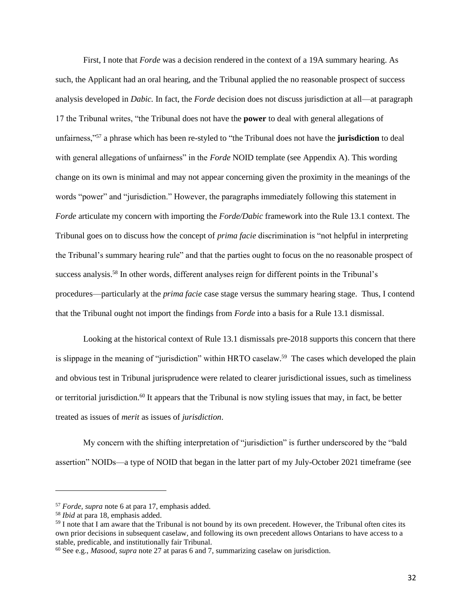First, I note that *Forde* was a decision rendered in the context of a 19A summary hearing. As such, the Applicant had an oral hearing, and the Tribunal applied the no reasonable prospect of success analysis developed in *Dabic.* In fact, the *Forde* decision does not discuss jurisdiction at all—at paragraph 17 the Tribunal writes, "the Tribunal does not have the **power** to deal with general allegations of unfairness,"<sup>57</sup> a phrase which has been re-styled to "the Tribunal does not have the **jurisdiction** to deal with general allegations of unfairness" in the *Forde* NOID template (see Appendix A). This wording change on its own is minimal and may not appear concerning given the proximity in the meanings of the words "power" and "jurisdiction." However, the paragraphs immediately following this statement in *Forde* articulate my concern with importing the *Forde/Dabic* framework into the Rule 13.1 context. The Tribunal goes on to discuss how the concept of *prima facie* discrimination is "not helpful in interpreting the Tribunal's summary hearing rule" and that the parties ought to focus on the no reasonable prospect of success analysis.<sup>58</sup> In other words, different analyses reign for different points in the Tribunal's procedures—particularly at the *prima facie* case stage versus the summary hearing stage. Thus, I contend that the Tribunal ought not import the findings from *Forde* into a basis for a Rule 13.1 dismissal.

Looking at the historical context of Rule 13.1 dismissals pre-2018 supports this concern that there is slippage in the meaning of "jurisdiction" within HRTO caselaw.<sup>59</sup> The cases which developed the plain and obvious test in Tribunal jurisprudence were related to clearer jurisdictional issues, such as timeliness or territorial jurisdiction.<sup>60</sup> It appears that the Tribunal is now styling issues that may, in fact, be better treated as issues of *merit* as issues of *jurisdiction*.

My concern with the shifting interpretation of "jurisdiction" is further underscored by the "bald assertion" NOIDs—a type of NOID that began in the latter part of my July-October 2021 timeframe (see

<sup>57</sup> *Forde, supra* note 6 at para 17, emphasis added.

<sup>58</sup> *Ibid* at para 18, emphasis added.

<sup>&</sup>lt;sup>59</sup> I note that I am aware that the Tribunal is not bound by its own precedent. However, the Tribunal often cites its own prior decisions in subsequent caselaw, and following its own precedent allows Ontarians to have access to a stable, predicable, and institutionally fair Tribunal.

<sup>60</sup> See e.g., *Masood, supra* note 27 at paras 6 and 7, summarizing caselaw on jurisdiction.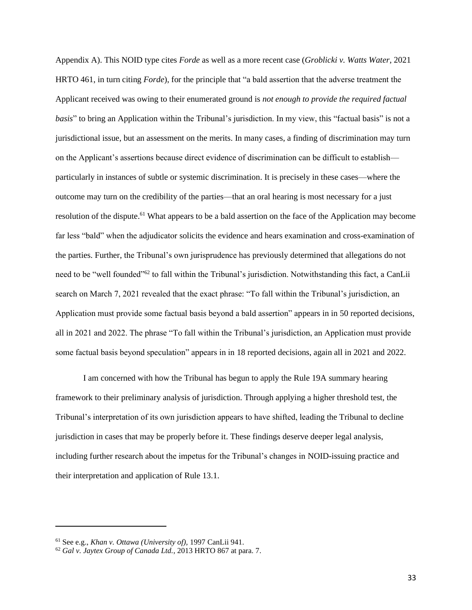Appendix A). This NOID type cites *Forde* as well as a more recent case (*Groblicki v. Watts Water*, 2021 HRTO 461, in turn citing *Forde*), for the principle that "a bald assertion that the adverse treatment the Applicant received was owing to their enumerated ground is *not enough to provide the required factual basis*" to bring an Application within the Tribunal's jurisdiction. In my view, this "factual basis" is not a jurisdictional issue, but an assessment on the merits. In many cases, a finding of discrimination may turn on the Applicant's assertions because direct evidence of discrimination can be difficult to establish particularly in instances of subtle or systemic discrimination. It is precisely in these cases—where the outcome may turn on the credibility of the parties—that an oral hearing is most necessary for a just resolution of the dispute.<sup>61</sup> What appears to be a bald assertion on the face of the Application may become far less "bald" when the adjudicator solicits the evidence and hears examination and cross-examination of the parties. Further, the Tribunal's own jurisprudence has previously determined that allegations do not need to be "well founded"<sup>62</sup> to fall within the Tribunal's jurisdiction. Notwithstanding this fact, a CanLii search on March 7, 2021 revealed that the exact phrase: "To fall within the Tribunal's jurisdiction, an Application must provide some factual basis beyond a bald assertion" appears in in 50 reported decisions, all in 2021 and 2022. The phrase "To fall within the Tribunal's jurisdiction, an Application must provide some factual basis beyond speculation" appears in in 18 reported decisions, again all in 2021 and 2022.

I am concerned with how the Tribunal has begun to apply the Rule 19A summary hearing framework to their preliminary analysis of jurisdiction. Through applying a higher threshold test, the Tribunal's interpretation of its own jurisdiction appears to have shifted, leading the Tribunal to decline jurisdiction in cases that may be properly before it. These findings deserve deeper legal analysis, including further research about the impetus for the Tribunal's changes in NOID-issuing practice and their interpretation and application of Rule 13.1.

<sup>61</sup> See e.g., *Khan v. Ottawa (University of),* 1997 CanLii 941.

<sup>62</sup> *Gal v. Jaytex Group of Canada Ltd.*, 2013 HRTO 867 at para. 7.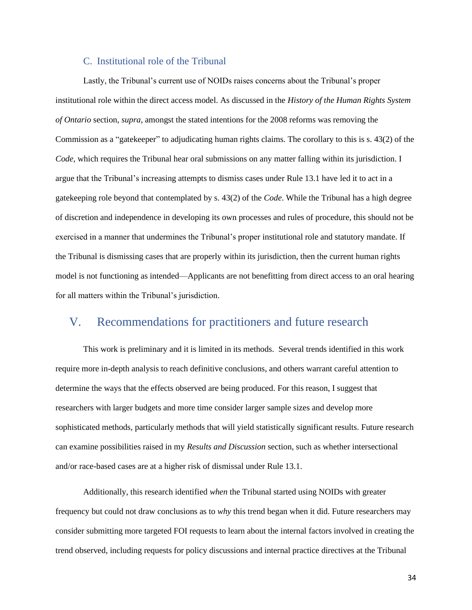#### C. Institutional role of the Tribunal

<span id="page-34-0"></span>Lastly, the Tribunal's current use of NOIDs raises concerns about the Tribunal's proper institutional role within the direct access model. As discussed in the *History of the Human Rights System of Ontario* section, *supra*, amongst the stated intentions for the 2008 reforms was removing the Commission as a "gatekeeper" to adjudicating human rights claims. The corollary to this is s. 43(2) of the *Code,* which requires the Tribunal hear oral submissions on any matter falling within its jurisdiction. I argue that the Tribunal's increasing attempts to dismiss cases under Rule 13.1 have led it to act in a gatekeeping role beyond that contemplated by s. 43(2) of the *Code*. While the Tribunal has a high degree of discretion and independence in developing its own processes and rules of procedure, this should not be exercised in a manner that undermines the Tribunal's proper institutional role and statutory mandate. If the Tribunal is dismissing cases that are properly within its jurisdiction, then the current human rights model is not functioning as intended—Applicants are not benefitting from direct access to an oral hearing for all matters within the Tribunal's jurisdiction.

# <span id="page-34-1"></span>V. Recommendations for practitioners and future research

This work is preliminary and it is limited in its methods. Several trends identified in this work require more in-depth analysis to reach definitive conclusions, and others warrant careful attention to determine the ways that the effects observed are being produced. For this reason, I suggest that researchers with larger budgets and more time consider larger sample sizes and develop more sophisticated methods, particularly methods that will yield statistically significant results. Future research can examine possibilities raised in my *Results and Discussion* section, such as whether intersectional and/or race-based cases are at a higher risk of dismissal under Rule 13.1.

Additionally, this research identified *when* the Tribunal started using NOIDs with greater frequency but could not draw conclusions as to *why* this trend began when it did. Future researchers may consider submitting more targeted FOI requests to learn about the internal factors involved in creating the trend observed, including requests for policy discussions and internal practice directives at the Tribunal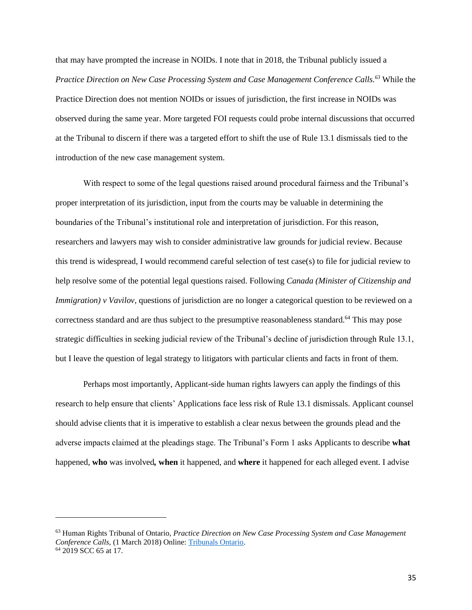that may have prompted the increase in NOIDs. I note that in 2018, the Tribunal publicly issued a *Practice Direction on New Case Processing System and Case Management Conference Calls.<sup>63</sup>* While the Practice Direction does not mention NOIDs or issues of jurisdiction, the first increase in NOIDs was observed during the same year. More targeted FOI requests could probe internal discussions that occurred at the Tribunal to discern if there was a targeted effort to shift the use of Rule 13.1 dismissals tied to the introduction of the new case management system.

With respect to some of the legal questions raised around procedural fairness and the Tribunal's proper interpretation of its jurisdiction, input from the courts may be valuable in determining the boundaries of the Tribunal's institutional role and interpretation of jurisdiction. For this reason, researchers and lawyers may wish to consider administrative law grounds for judicial review. Because this trend is widespread, I would recommend careful selection of test case(s) to file for judicial review to help resolve some of the potential legal questions raised. Following *Canada (Minister of Citizenship and Immigration) v Vavilov*, questions of jurisdiction are no longer a categorical question to be reviewed on a correctness standard and are thus subject to the presumptive reasonableness standard.<sup>64</sup> This may pose strategic difficulties in seeking judicial review of the Tribunal's decline of jurisdiction through Rule 13.1, but I leave the question of legal strategy to litigators with particular clients and facts in front of them.

Perhaps most importantly, Applicant-side human rights lawyers can apply the findings of this research to help ensure that clients' Applications face less risk of Rule 13.1 dismissals. Applicant counsel should advise clients that it is imperative to establish a clear nexus between the grounds plead and the adverse impacts claimed at the pleadings stage. The Tribunal's Form 1 asks Applicants to describe **what** happened, **who** was involved*,* **when** it happened, and **where** it happened for each alleged event. I advise

<sup>63</sup> Human Rights Tribunal of Ontario, *Practice Direction on New Case Processing System and Case Management Conference Calls,* (1 March 2018) Online: [Tribunals Ontario.](https://tribunalsontario.ca/documents/hrto/Practice%20Directions/New%20System%20and%20CMCC.html)

<sup>&</sup>lt;sup>64</sup> 2019 SCC 65 at 17.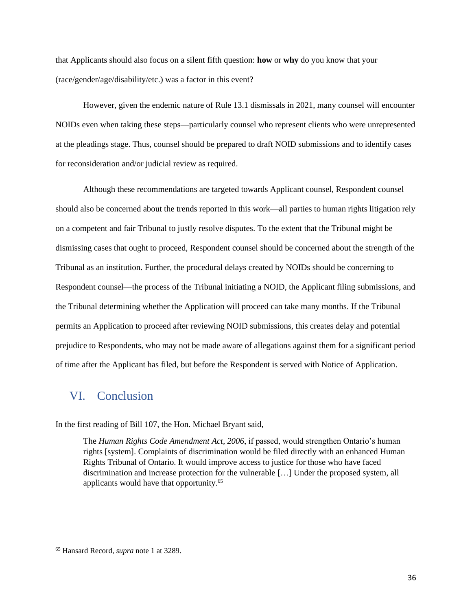that Applicants should also focus on a silent fifth question: **how** or **why** do you know that your (race/gender/age/disability/etc.) was a factor in this event?

However, given the endemic nature of Rule 13.1 dismissals in 2021, many counsel will encounter NOIDs even when taking these steps—particularly counsel who represent clients who were unrepresented at the pleadings stage. Thus, counsel should be prepared to draft NOID submissions and to identify cases for reconsideration and/or judicial review as required.

Although these recommendations are targeted towards Applicant counsel, Respondent counsel should also be concerned about the trends reported in this work—all parties to human rights litigation rely on a competent and fair Tribunal to justly resolve disputes. To the extent that the Tribunal might be dismissing cases that ought to proceed, Respondent counsel should be concerned about the strength of the Tribunal as an institution. Further, the procedural delays created by NOIDs should be concerning to Respondent counsel—the process of the Tribunal initiating a NOID, the Applicant filing submissions, and the Tribunal determining whether the Application will proceed can take many months. If the Tribunal permits an Application to proceed after reviewing NOID submissions, this creates delay and potential prejudice to Respondents, who may not be made aware of allegations against them for a significant period of time after the Applicant has filed, but before the Respondent is served with Notice of Application.

# <span id="page-36-0"></span>VI. Conclusion

In the first reading of Bill 107, the Hon. Michael Bryant said,

The *Human Rights Code Amendment Act, 2006*, if passed, would strengthen Ontario's human rights [system]. Complaints of discrimination would be filed directly with an enhanced Human Rights Tribunal of Ontario. It would improve access to justice for those who have faced discrimination and increase protection for the vulnerable […] Under the proposed system, all applicants would have that opportunity.<sup>65</sup>

<sup>65</sup> Hansard Record*, supra* note 1 at 3289.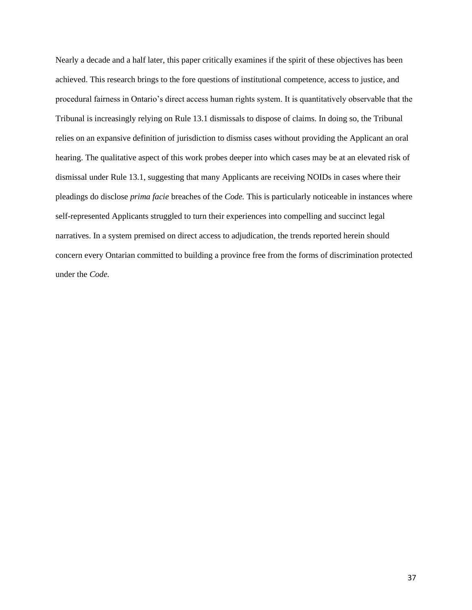Nearly a decade and a half later, this paper critically examines if the spirit of these objectives has been achieved. This research brings to the fore questions of institutional competence, access to justice, and procedural fairness in Ontario's direct access human rights system. It is quantitatively observable that the Tribunal is increasingly relying on Rule 13.1 dismissals to dispose of claims. In doing so, the Tribunal relies on an expansive definition of jurisdiction to dismiss cases without providing the Applicant an oral hearing. The qualitative aspect of this work probes deeper into which cases may be at an elevated risk of dismissal under Rule 13.1, suggesting that many Applicants are receiving NOIDs in cases where their pleadings do disclose *prima facie* breaches of the *Code.* This is particularly noticeable in instances where self-represented Applicants struggled to turn their experiences into compelling and succinct legal narratives. In a system premised on direct access to adjudication, the trends reported herein should concern every Ontarian committed to building a province free from the forms of discrimination protected under the *Code.*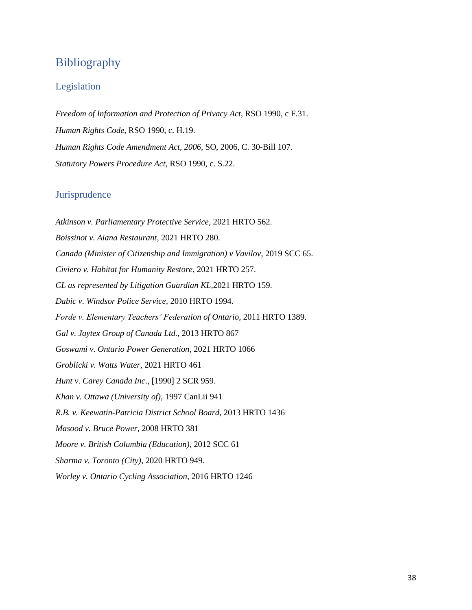# <span id="page-38-0"></span>Bibliography

### <span id="page-38-1"></span>Legislation

*Freedom of Information and Protection of Privacy Act*, RSO 1990, c F.31. *Human Rights Code*, RSO 1990, c. H.19. *Human Rights Code Amendment Act, 2006,* SO, 2006, C. 30-Bill 107. *Statutory Powers Procedure Act*, RSO 1990, c. S.22.

### <span id="page-38-2"></span>**Jurisprudence**

*Atkinson v. Parliamentary Protective Service*, 2021 HRTO 562. *Boissinot v. Aiana Restaurant*, 2021 HRTO 280. *Canada (Minister of Citizenship and Immigration) v Vavilov*, 2019 SCC 65. *Civiero v. Habitat for Humanity Restore*, 2021 HRTO 257. *CL as represented by Litigation Guardian KL,*2021 HRTO 159. *Dabic v. Windsor Police Service,* 2010 HRTO 1994. *Forde v. Elementary Teachers' Federation of Ontario*, 2011 HRTO 1389. *Gal v. Jaytex Group of Canada Ltd.*, 2013 HRTO 867 *Goswami v. Ontario Power Generation*, 2021 HRTO 1066 *Groblicki v. Watts Water*, 2021 HRTO 461 *Hunt v. Carey Canada Inc*., [1990] 2 SCR 959. *Khan v. Ottawa (University of),* 1997 CanLii 941 *R.B. v. Keewatin-Patricia District School Board*, 2013 HRTO 1436 *Masood v. Bruce Power*, 2008 HRTO 381 *Moore v. British Columbia (Education)*, 2012 SCC 61 *Sharma v. Toronto (City),* 2020 HRTO 949. *Worley v. Ontario Cycling Association*, 2016 HRTO 1246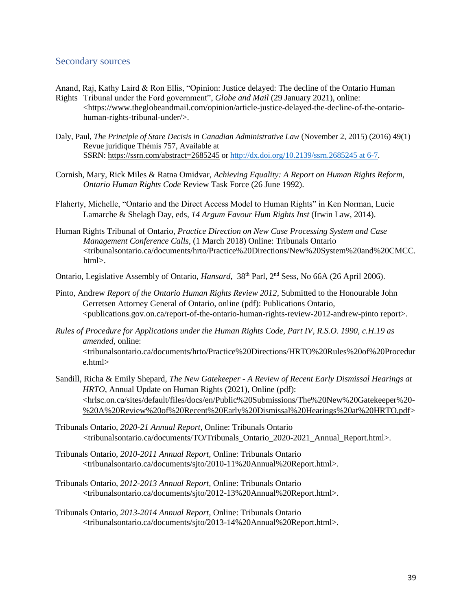#### <span id="page-39-0"></span>Secondary sources

- Anand, Raj, Kathy Laird & Ron Ellis, "Opinion: Justice delayed: The decline of the Ontario Human Rights Tribunal under the Ford government", *Globe and Mail* (29 January 2021), online:
	- <https://www.theglobeandmail.com/opinion/article-justice-delayed-the-decline-of-the-ontariohuman-rights-tribunal-under/>.
- Daly, Paul, *The Principle of Stare Decisis in Canadian Administrative Law* (November 2, 2015) (2016) 49(1) Revue juridique Thémis 757, Available at SSRN: <https://ssrn.com/abstract=2685245> or [http://dx.doi.org/10.2139/ssrn.2685245](http://dx.doi.org/10.2139/ssrn.2685245%20at%206-7) at 6-7.
- Cornish, Mary, Rick Miles & Ratna Omidvar, *Achieving Equality: A Report on Human Rights Reform*, *Ontario Human Rights Code* Review Task Force (26 June 1992).
- Flaherty, Michelle, "Ontario and the Direct Access Model to Human Rights" in Ken Norman, Lucie Lamarche & Shelagh Day, eds, *14 Argum Favour Hum Rights Inst* (Irwin Law, 2014).
- Human Rights Tribunal of Ontario, *Practice Direction on New Case Processing System and Case Management Conference Calls,* (1 March 2018) Online: Tribunals Ontario <tribunalsontario.ca/documents/hrto/Practice%20Directions/New%20System%20and%20CMCC. html>.
- Ontario, Legislative Assembly of Ontario, *Hansard*, 38<sup>th</sup> Parl, 2<sup>nd</sup> Sess, No 66A (26 April 2006).
- Pinto, Andrew *Report of the Ontario Human Rights Review 2012*, Submitted to the Honourable John Gerretsen Attorney General of Ontario, online (pdf): Publications Ontario, <publications.gov.on.ca/report-of-the-ontario-human-rights-review-2012-andrew-pinto report>.
- *Rules of Procedure for Applications under the Human Rights Code, Part IV, R.S.O. 1990, c.H.19 as amended,* online: <tribunalsontario.ca/documents/hrto/Practice%20Directions/HRTO%20Rules%20of%20Procedur e.html>
- Sandill, Richa & Emily Shepard, *The New Gatekeeper - A Review of Recent Early Dismissal Hearings at HRTO*, Annual Update on Human Rights (2021), Online (pdf): [<hrlsc.on.ca/sites/default/files/docs/en/Public%20Submissions/The%20New%20Gatekeeper%20-](https://www.hrlsc.on.ca/sites/default/files/docs/en/Public%20Submissions/The%20New%20Gatekeeper%20-%20A%20Review%20of%20Recent%20Early%20Dismissal%20Hearings%20at%20HRTO.pdf) [%20A%20Review%20of%20Recent%20Early%20Dismissal%20Hearings%20at%20HRTO.pdf>](https://www.hrlsc.on.ca/sites/default/files/docs/en/Public%20Submissions/The%20New%20Gatekeeper%20-%20A%20Review%20of%20Recent%20Early%20Dismissal%20Hearings%20at%20HRTO.pdf)
- Tribunals Ontario, *2020-21 Annual Report,* Online: Tribunals Ontario <tribunalsontario.ca/documents/TO/Tribunals\_Ontario\_2020-2021\_Annual\_Report.html>.
- Tribunals Ontario, *2010-2011 Annual Report,* Online: Tribunals Ontario <tribunalsontario.ca/documents/sjto/2010-11%20Annual%20Report.html>.
- Tribunals Ontario, *2012-2013 Annual Report,* Online: Tribunals Ontario <tribunalsontario.ca/documents/sjto/2012-13%20Annual%20Report.html>.
- Tribunals Ontario, *2013-2014 Annual Report,* Online: Tribunals Ontario <tribunalsontario.ca/documents/sjto/2013-14%20Annual%20Report.html>.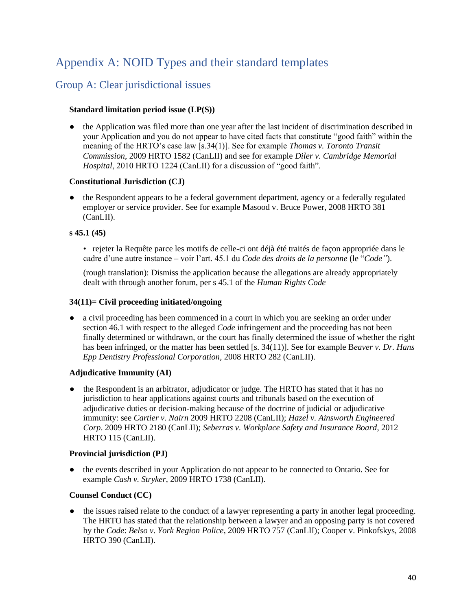# <span id="page-40-0"></span>Appendix A: NOID Types and their standard templates

# <span id="page-40-1"></span>Group A: Clear jurisdictional issues

#### **Standard limitation period issue (LP(S))**

the Application was filed more than one year after the last incident of discrimination described in your Application and you do not appear to have cited facts that constitute "good faith" within the meaning of the HRTO's case law [s.34(1)]. See for example *Thomas v. Toronto Transit Commission*, 2009 HRTO 1582 (CanLII) and see for example *Diler v. Cambridge Memorial Hospital*, 2010 HRTO 1224 (CanLII) for a discussion of "good faith".

#### **Constitutional Jurisdiction (CJ)**

the Respondent appears to be a federal government department, agency or a federally regulated employer or service provider. See for example Masood v. Bruce Power, 2008 HRTO 381 (CanLII).

#### **s 45.1 (45)**

• rejeter la Requête parce les motifs de celle-ci ont déjà été traités de façon appropriée dans le cadre d'une autre instance – voir l'art. 45.1 du *Code des droits de la personne* (le "*Code"*).

(rough translation): Dismiss the application because the allegations are already appropriately dealt with through another forum, per s 45.1 of the *Human Rights Code*

#### **34(11)= Civil proceeding initiated/ongoing**

● a civil proceeding has been commenced in a court in which you are seeking an order under section 46.1 with respect to the alleged *Code* infringement and the proceeding has not been finally determined or withdrawn, or the court has finally determined the issue of whether the right has been infringed, or the matter has been settled [s. 34(11)]. See for example B*eaver v. Dr. Hans Epp Dentistry Professional Corporation*, 2008 HRTO 282 (CanLII).

### **Adjudicative Immunity (AI)**

• the Respondent is an arbitrator, adjudicator or judge. The HRTO has stated that it has no jurisdiction to hear applications against courts and tribunals based on the execution of adjudicative duties or decision-making because of the doctrine of judicial or adjudicative immunity: see *Cartier v. Nairn* 2009 HRTO 2208 (CanLII); *Hazel v. Ainsworth Engineered Corp*. 2009 HRTO 2180 (CanLII); *Seberras v. Workplace Safety and Insurance Board*, 2012 HRTO 115 (CanLII).

### **Provincial jurisdiction (PJ)**

the events described in your Application do not appear to be connected to Ontario. See for example *Cash v. Stryker*, 2009 HRTO 1738 (CanLII).

### **Counsel Conduct (CC)**

• the issues raised relate to the conduct of a lawyer representing a party in another legal proceeding. The HRTO has stated that the relationship between a lawyer and an opposing party is not covered by the *Code*: *Belso v. York Region Police*, 2009 HRTO 757 (CanLII); Cooper v. Pinkofskys, 2008 HRTO 390 (CanLII).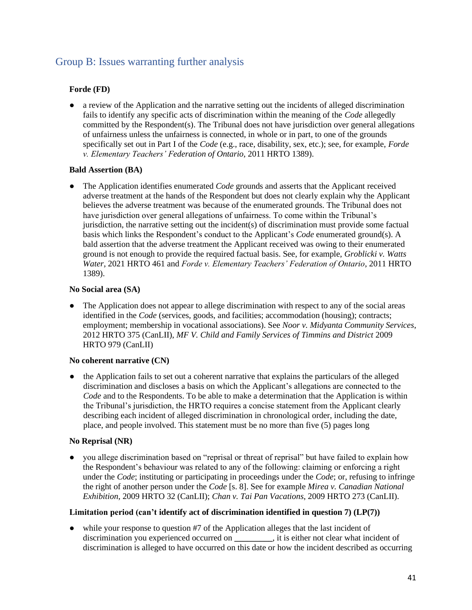## <span id="page-41-0"></span>Group B: Issues warranting further analysis

### **Forde (FD)**

● a review of the Application and the narrative setting out the incidents of alleged discrimination fails to identify any specific acts of discrimination within the meaning of the *Code* allegedly committed by the Respondent(s). The Tribunal does not have jurisdiction over general allegations of unfairness unless the unfairness is connected, in whole or in part, to one of the grounds specifically set out in Part I of the *Code* (e.g., race, disability, sex, etc.); see, for example, *Forde v. Elementary Teachers' Federation of Ontario*, 2011 HRTO 1389).

### **Bald Assertion (BA)**

● The Application identifies enumerated *Code* grounds and asserts that the Applicant received adverse treatment at the hands of the Respondent but does not clearly explain why the Applicant believes the adverse treatment was because of the enumerated grounds. The Tribunal does not have jurisdiction over general allegations of unfairness. To come within the Tribunal's jurisdiction, the narrative setting out the incident(s) of discrimination must provide some factual basis which links the Respondent's conduct to the Applicant's *Code* enumerated ground(s). A bald assertion that the adverse treatment the Applicant received was owing to their enumerated ground is not enough to provide the required factual basis. See, for example, *Groblicki v. Watts Water*, 2021 HRTO 461 and *Forde v. Elementary Teachers' Federation of Ontario*, 2011 HRTO 1389).

#### **No Social area (SA)**

• The Application does not appear to allege discrimination with respect to any of the social areas identified in the *Code* (services, goods, and facilities; accommodation (housing); contracts; employment; membership in vocational associations). See *Noor v. Midyanta Community Services*, 2012 HRTO 375 (CanLII), *MF V. Child and Family Services of Timmins and District* 2009 HRTO 979 (CanLII)

#### **No coherent narrative (CN)**

• the Application fails to set out a coherent narrative that explains the particulars of the alleged discrimination and discloses a basis on which the Applicant's allegations are connected to the *Code* and to the Respondents. To be able to make a determination that the Application is within the Tribunal's jurisdiction, the HRTO requires a concise statement from the Applicant clearly describing each incident of alleged discrimination in chronological order, including the date, place, and people involved. This statement must be no more than five (5) pages long

### **No Reprisal (NR)**

you allege discrimination based on "reprisal or threat of reprisal" but have failed to explain how the Respondent's behaviour was related to any of the following: claiming or enforcing a right under the *Code*; instituting or participating in proceedings under the *Code*; or, refusing to infringe the right of another person under the *Code* [s. 8]. See for example *Mirea v. Canadian National Exhibition*, 2009 HRTO 32 (CanLII); *Chan v. Tai Pan Vacations*, 2009 HRTO 273 (CanLII).

#### **Limitation period (can't identify act of discrimination identified in question 7) (LP(7))**

• while your response to question #7 of the Application alleges that the last incident of discrimination you experienced occurred on **\_\_\_\_\_\_\_\_\_**, it is either not clear what incident of discrimination is alleged to have occurred on this date or how the incident described as occurring